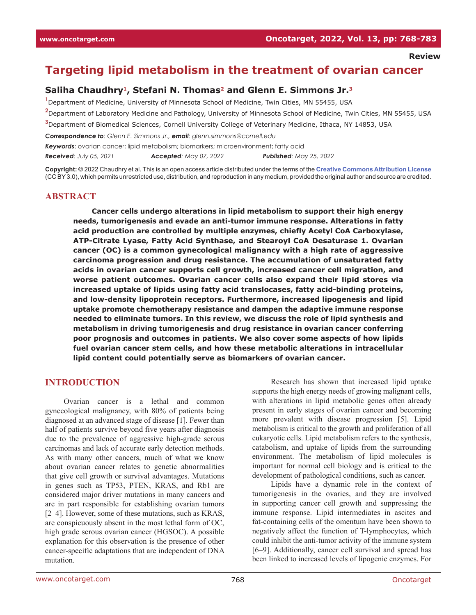# **Targeting lipid metabolism in the treatment of ovarian cancer**

#### Saliha Chaudhry<sup>1</sup>, Stefani N. Thomas<sup>2</sup> and Glenn E. Simmons Jr.<sup>3</sup>

**1** Department of Medicine, University of Minnesota School of Medicine, Twin Cities, MN 55455, USA

**2** Department of Laboratory Medicine and Pathology, University of Minnesota School of Medicine, Twin Cities, MN 55455, USA

**3** Department of Biomedical Sciences, Cornell University College of Veterinary Medicine, Ithaca, NY 14853, USA

*Correspondence to: Glenn E. Simmons Jr., email: glenn.simmons@cornell.edu*

*Keywords*: ovarian cancer; lipid metabolism; biomarkers; microenvironment; fatty acid

*Received: July 05, 2021 Accepted: May 07, 2022 Published: May 25, 2022*

**Copyright:** © 2022 Chaudhry et al. This is an open access article distributed under the terms of the **[Creative Commons Attribution License](https://creativecommons.org/licenses/by/3.0/)**

(CC BY3.0), which permits unrestricted use, distribution, and reproduction in any medium, provided the original author and source are credited.

#### **ABSTRACT**

**Cancer cells undergo alterations in lipid metabolism to support their high energy needs, tumorigenesis and evade an anti-tumor immune response. Alterations in fatty acid production are controlled by multiple enzymes, chiefly Acetyl CoA Carboxylase, ATP-Citrate Lyase, Fatty Acid Synthase, and Stearoyl CoA Desaturase 1. Ovarian cancer (OC) is a common gynecological malignancy with a high rate of aggressive carcinoma progression and drug resistance. The accumulation of unsaturated fatty acids in ovarian cancer supports cell growth, increased cancer cell migration, and worse patient outcomes. Ovarian cancer cells also expand their lipid stores via increased uptake of lipids using fatty acid translocases, fatty acid-binding proteins, and low-density lipoprotein receptors. Furthermore, increased lipogenesis and lipid uptake promote chemotherapy resistance and dampen the adaptive immune response needed to eliminate tumors. In this review, we discuss the role of lipid synthesis and metabolism in driving tumorigenesis and drug resistance in ovarian cancer conferring poor prognosis and outcomes in patients. We also cover some aspects of how lipids fuel ovarian cancer stem cells, and how these metabolic alterations in intracellular lipid content could potentially serve as biomarkers of ovarian cancer.**

#### **INTRODUCTION**

Ovarian cancer is a lethal and common gynecological malignancy, with 80% of patients being diagnosed at an advanced stage of disease [1]. Fewer than half of patients survive beyond five years after diagnosis due to the prevalence of aggressive high-grade serous carcinomas and lack of accurate early detection methods. As with many other cancers, much of what we know about ovarian cancer relates to genetic abnormalities that give cell growth or survival advantages. Mutations in genes such as TP53, PTEN, KRAS, and Rb1 are considered major driver mutations in many cancers and are in part responsible for establishing ovarian tumors [2–4]. However, some of these mutations, such as KRAS, are conspicuously absent in the most lethal form of OC, high grade serous ovarian cancer (HGSOC). A possible explanation for this observation is the presence of other cancer-specific adaptations that are independent of DNA mutation.

Research has shown that increased lipid uptake supports the high energy needs of growing malignant cells, with alterations in lipid metabolic genes often already present in early stages of ovarian cancer and becoming more prevalent with disease progression [5]. Lipid metabolism is critical to the growth and proliferation of all eukaryotic cells. Lipid metabolism refers to the synthesis, catabolism, and uptake of lipids from the surrounding environment. The metabolism of lipid molecules is important for normal cell biology and is critical to the development of pathological conditions, such as cancer.

Lipids have a dynamic role in the context of tumorigenesis in the ovaries, and they are involved in supporting cancer cell growth and suppressing the immune response. Lipid intermediates in ascites and fat-containing cells of the omentum have been shown to negatively affect the function of T-lymphocytes, which could inhibit the anti-tumor activity of the immune system [6–9]. Additionally, cancer cell survival and spread has been linked to increased levels of lipogenic enzymes. For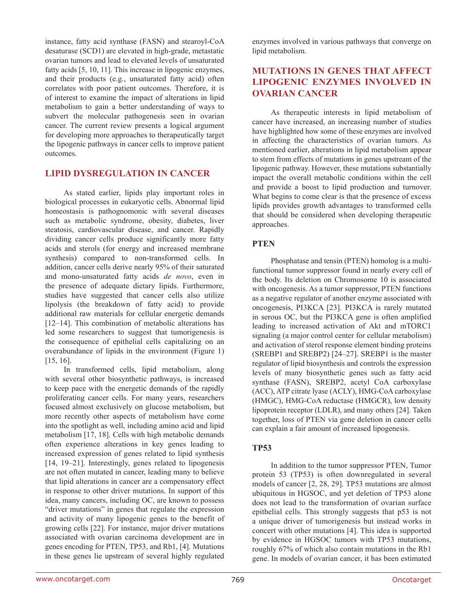instance, fatty acid synthase (FASN) and stearoyl-CoA desaturase (SCD1) are elevated in high-grade, metastatic ovarian tumors and lead to elevated levels of unsaturated fatty acids [5, 10, 11]. This increase in lipogenic enzymes, and their products (e.g., unsaturated fatty acid) often correlates with poor patient outcomes. Therefore, it is of interest to examine the impact of alterations in lipid metabolism to gain a better understanding of ways to subvert the molecular pathogenesis seen in ovarian cancer. The current review presents a logical argument for developing more approaches to therapeutically target the lipogenic pathways in cancer cells to improve patient outcomes.

## **LIPID DYSREGULATION IN CANCER**

As stated earlier, lipids play important roles in biological processes in eukaryotic cells. Abnormal lipid homeostasis is pathognomonic with several diseases such as metabolic syndrome, obesity, diabetes, liver steatosis, cardiovascular disease, and cancer. Rapidly dividing cancer cells produce significantly more fatty acids and sterols (for energy and increased membrane synthesis) compared to non-transformed cells. In addition, cancer cells derive nearly 95% of their saturated and mono-unsaturated fatty acids *de novo*, even in the presence of adequate dietary lipids. Furthermore, studies have suggested that cancer cells also utilize lipolysis (the breakdown of fatty acid) to provide additional raw materials for cellular energetic demands [12–14]. This combination of metabolic alterations has led some researchers to suggest that tumorigenesis is the consequence of epithelial cells capitalizing on an overabundance of lipids in the environment (Figure 1) [15, 16].

In transformed cells, lipid metabolism, along with several other biosynthetic pathways, is increased to keep pace with the energetic demands of the rapidly proliferating cancer cells. For many years, researchers focused almost exclusively on glucose metabolism, but more recently other aspects of metabolism have come into the spotlight as well, including amino acid and lipid metabolism [17, 18]. Cells with high metabolic demands often experience alterations in key genes leading to increased expression of genes related to lipid synthesis [14, 19–21]. Interestingly, genes related to lipogenesis are not often mutated in cancer, leading many to believe that lipid alterations in cancer are a compensatory effect in response to other driver mutations. In support of this idea, many cancers, including OC, are known to possess "driver mutations" in genes that regulate the expression and activity of many lipogenic genes to the benefit of growing cells [22]. For instance, major driver mutations associated with ovarian carcinoma development are in genes encoding for PTEN, TP53, and Rb1, [4]. Mutations in these genes lie upstream of several highly regulated

enzymes involved in various pathways that converge on lipid metabolism.

## **MUTATIONS IN GENES THAT AFFECT LIPOGENIC ENZYMES INVOLVED IN OVARIAN CANCER**

As therapeutic interests in lipid metabolism of cancer have increased, an increasing number of studies have highlighted how some of these enzymes are involved in affecting the characteristics of ovarian tumors. As mentioned earlier, alterations in lipid metabolism appear to stem from effects of mutations in genes upstream of the lipogenic pathway. However, these mutations substantially impact the overall metabolic conditions within the cell and provide a boost to lipid production and turnover. What begins to come clear is that the presence of excess lipids provides growth advantages to transformed cells that should be considered when developing therapeutic approaches.

## **PTEN**

Phosphatase and tensin (PTEN) homolog is a multifunctional tumor suppressor found in nearly every cell of the body. Its deletion on Chromosome 10 is associated with oncogenesis. As a tumor suppressor, PTEN functions as a negative regulator of another enzyme associated with oncogenesis, PI3KCA [23]. PI3KCA is rarely mutated in serous OC, but the PI3KCA gene is often amplified leading to increased activation of Akt and mTORC1 signaling (a major control center for cellular metabolism) and activation of sterol response element binding proteins (SREBP1 and SREBP2) [24–27]. SREBP1 is the master regulator of lipid biosynthesis and controls the expression levels of many biosynthetic genes such as fatty acid synthase (FASN), SREBP2, acetyl CoA carboxylase (ACC), ATP citrate lyase (ACLY), HMG-CoA carboxylase (HMGC), HMG-CoA reductase (HMGCR), low density lipoprotein receptor (LDLR), and many others [24]. Taken together, loss of PTEN via gene deletion in cancer cells can explain a fair amount of increased lipogenesis.

## **TP53**

In addition to the tumor suppressor PTEN, Tumor protein 53 (TP53) is often downregulated in several models of cancer [2, 28, 29]. TP53 mutations are almost ubiquitous in HGSOC, and yet deletion of TP53 alone does not lead to the transformation of ovarian surface epithelial cells. This strongly suggests that p53 is not a unique driver of tumorigenesis but instead works in concert with other mutations [4]. This idea is supported by evidence in HGSOC tumors with TP53 mutations, roughly 67% of which also contain mutations in the Rb1 gene. In models of ovarian cancer, it has been estimated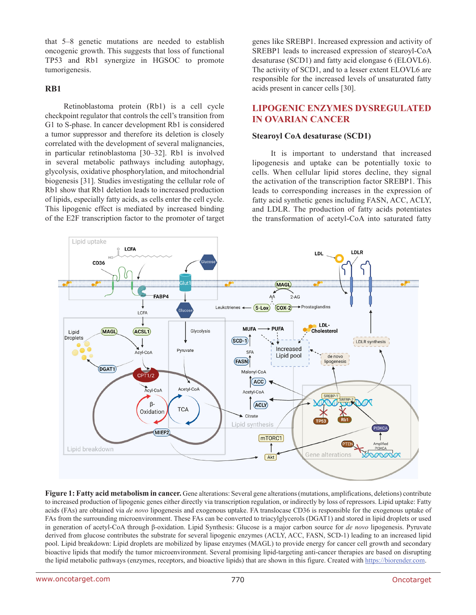that 5–8 genetic mutations are needed to establish oncogenic growth. This suggests that loss of functional TP53 and Rb1 synergize in HGSOC to promote tumorigenesis.

#### **RB1**

Retinoblastoma protein (Rb1) is a cell cycle checkpoint regulator that controls the cell's transition from G1 to S-phase. In cancer development Rb1 is considered a tumor suppressor and therefore its deletion is closely correlated with the development of several malignancies, in particular retinoblastoma [30–32]. Rb1 is involved in several metabolic pathways including autophagy, glycolysis, oxidative phosphorylation, and mitochondrial biogenesis [31]. Studies investigating the cellular role of Rb1 show that Rb1 deletion leads to increased production of lipids, especially fatty acids, as cells enter the cell cycle. This lipogenic effect is mediated by increased binding of the E2F transcription factor to the promoter of target

genes like SREBP1. Increased expression and activity of SREBP1 leads to increased expression of stearoyl-CoA desaturase (SCD1) and fatty acid elongase 6 (ELOVL6). The activity of SCD1, and to a lesser extent ELOVL6 are responsible for the increased levels of unsaturated fatty acids present in cancer cells [30].

## **LIPOGENIC ENZYMES DYSREGULATED IN OVARIAN CANCER**

#### **Stearoyl CoA desaturase (SCD1)**

It is important to understand that increased lipogenesis and uptake can be potentially toxic to cells. When cellular lipid stores decline, they signal the activation of the transcription factor SREBP1. This leads to corresponding increases in the expression of fatty acid synthetic genes including FASN, ACC, ACLY, and LDLR. The production of fatty acids potentiates the transformation of acetyl-CoA into saturated fatty



**Figure 1: Fatty acid metabolism in cancer.** Gene alterations: Several gene alterations (mutations, amplifications, deletions) contribute to increased production of lipogenic genes either directly via transcription regulation, or indirectly by loss of repressors. Lipid uptake: Fatty acids (FAs) are obtained via *de novo* lipogenesis and exogenous uptake. FA translocase CD36 is responsible for the exogenous uptake of FAs from the surrounding microenvironment. These FAs can be converted to triacylglycerols (DGAT1) and stored in lipid droplets or used in generation of acetyl-CoA through β-oxidation. Lipid Synthesis: Glucose is a major carbon source for *de novo* lipogenesis. Pyruvate derived from glucose contributes the substrate for several lipogenic enzymes (ACLY, ACC, FASN, SCD-1) leading to an increased lipid pool. Lipid breakdown: Lipid droplets are mobilized by lipase enzymes (MAGL) to provide energy for cancer cell growth and secondary bioactive lipids that modify the tumor microenvironment. Several promising lipid-targeting anti-cancer therapies are based on disrupting the lipid metabolic pathways (enzymes, receptors, and bioactive lipids) that are shown in this figure. Created with [https://biorender.com.](https://biorender.com)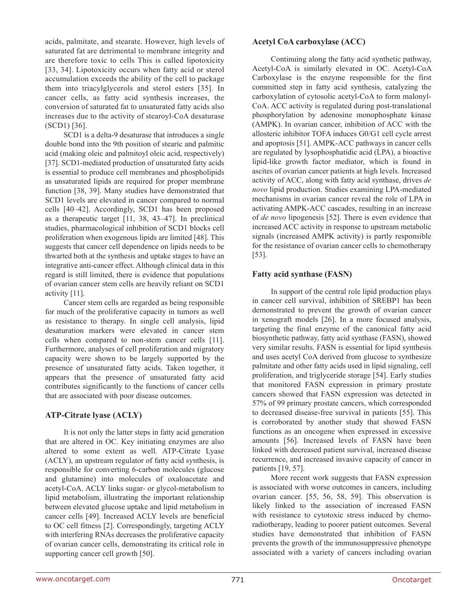acids, palmitate, and stearate. However, high levels of saturated fat are detrimental to membrane integrity and are therefore toxic to cells This is called lipotoxicity [33, 34]. Lipotoxicity occurs when fatty acid or sterol accumulation exceeds the ability of the cell to package them into triacylglycerols and sterol esters [35]. In cancer cells, as fatty acid synthesis increases, the conversion of saturated fat to unsaturated fatty acids also increases due to the activity of stearoyl-CoA desaturase (SCD1) [36].

SCD1 is a delta-9 desaturase that introduces a single double bond into the 9th position of stearic and palmitic acid (making oleic and palmitoyl oleic acid, respectively) [37]. SCD1-mediated production of unsaturated fatty acids is essential to produce cell membranes and phospholipids as unsaturated lipids are required for proper membrane function [38, 39]. Many studies have demonstrated that SCD1 levels are elevated in cancer compared to normal cells [40–42]. Accordingly, SCD1 has been proposed as a therapeutic target [11, 38, 43–47]. In preclinical studies, pharmacological inhibition of SCD1 blocks cell proliferation when exogenous lipids are limited [48]. This suggests that cancer cell dependence on lipids needs to be thwarted both at the synthesis and uptake stages to have an integrative anti-cancer effect. Although clinical data in this regard is still limited, there is evidence that populations of ovarian cancer stem cells are heavily reliant on SCD1 activity [11].

Cancer stem cells are regarded as being responsible for much of the proliferative capacity in tumors as well as resistance to therapy. In single cell analysis, lipid desaturation markers were elevated in cancer stem cells when compared to non-stem cancer cells [11]. Furthermore, analyses of cell proliferation and migratory capacity were shown to be largely supported by the presence of unsaturated fatty acids. Taken together, it appears that the presence of unsaturated fatty acid contributes significantly to the functions of cancer cells that are associated with poor disease outcomes.

#### **ATP-Citrate lyase (ACLY)**

It is not only the latter steps in fatty acid generation that are altered in OC. Key initiating enzymes are also altered to some extent as well. ATP-Citrate Lyase (ACLY), an upstream regulator of fatty acid synthesis, is responsible for converting 6-carbon molecules (glucose and glutamine) into molecules of oxaloacetate and acetyl-CoA. ACLY links sugar- or glycol-metabolism to lipid metabolism, illustrating the important relationship between elevated glucose uptake and lipid metabolism in cancer cells [49]. Increased ACLY levels are beneficial to OC cell fitness [2]. Correspondingly, targeting ACLY with interfering RNAs decreases the proliferative capacity of ovarian cancer cells, demonstrating its critical role in supporting cancer cell growth [50].

### **Acetyl CoA carboxylase (ACC)**

Continuing along the fatty acid synthetic pathway, Acetyl-CoA is similarly elevated in OC. Acetyl-CoA Carboxylase is the enzyme responsible for the first committed step in fatty acid synthesis, catalyzing the carboxylation of cytosolic acetyl-CoA to form malonyl-CoA. ACC activity is regulated during post-translational phosphorylation by adenosine monophosphate kinase (AMPK). In ovarian cancer, inhibition of ACC with the allosteric inhibitor TOFA induces G0/G1 cell cycle arrest and apoptosis [51]. AMPK-ACC pathways in cancer cells are regulated by lysophosphatidic acid (LPA), a bioactive lipid-like growth factor mediator, which is found in ascites of ovarian cancer patients at high levels. Increased activity of ACC, along with fatty acid synthase, drives *de novo* lipid production. Studies examining LPA-mediated mechanisms in ovarian cancer reveal the role of LPA in activating AMPK-ACC cascades, resulting in an increase of *de novo* lipogenesis [52]. There is even evidence that increased ACC activity in response to upstream metabolic signals (increased AMPK activity) is partly responsible for the resistance of ovarian cancer cells to chemotherapy [53].

### **Fatty acid synthase (FASN)**

In support of the central role lipid production plays in cancer cell survival, inhibition of SREBP1 has been demonstrated to prevent the growth of ovarian cancer in xenograft models [26]. In a more focused analysis, targeting the final enzyme of the canonical fatty acid biosynthetic pathway, fatty acid synthase (FASN), showed very similar results. FASN is essential for lipid synthesis and uses acetyl CoA derived from glucose to synthesize palmitate and other fatty acids used in lipid signaling, cell proliferation, and triglyceride storage [54]. Early studies that monitored FASN expression in primary prostate cancers showed that FASN expression was detected in 57% of 99 primary prostate cancers, which corresponded to decreased disease-free survival in patients [55]. This is corroborated by another study that showed FASN functions as an oncogene when expressed in excessive amounts [56]. Increased levels of FASN have been linked with decreased patient survival, increased disease recurrence, and increased invasive capacity of cancer in patients [19, 57].

More recent work suggests that FASN expression is associated with worse outcomes in cancers, including ovarian cancer. [55, 56, 58, 59]. This observation is likely linked to the association of increased FASN with resistance to cytotoxic stress induced by chemoradiotherapy, leading to poorer patient outcomes. Several studies have demonstrated that inhibition of FASN prevents the growth of the immunosuppressive phenotype associated with a variety of cancers including ovarian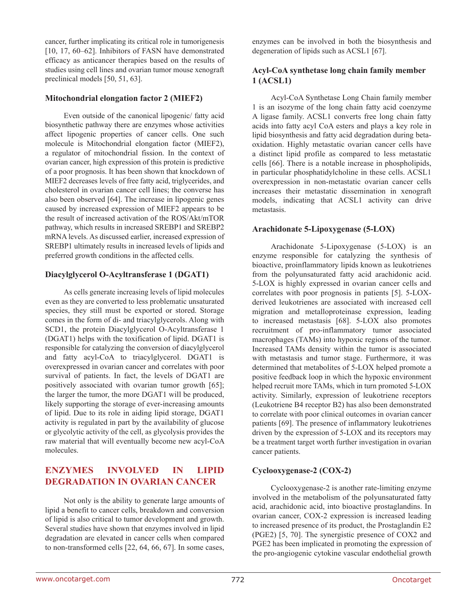cancer, further implicating its critical role in tumorigenesis [10, 17, 60–62]. Inhibitors of FASN have demonstrated efficacy as anticancer therapies based on the results of studies using cell lines and ovarian tumor mouse xenograft preclinical models [50, 51, 63].

### **Mitochondrial elongation factor 2 (MIEF2)**

Even outside of the canonical lipogenic/ fatty acid biosynthetic pathway there are enzymes whose activities affect lipogenic properties of cancer cells. One such molecule is Mitochondrial elongation factor (MIEF2), a regulator of mitochondrial fission. In the context of ovarian cancer, high expression of this protein is predictive of a poor prognosis. It has been shown that knockdown of MIEF2 decreases levels of free fatty acid, triglycerides, and cholesterol in ovarian cancer cell lines; the converse has also been observed [64]. The increase in lipogenic genes caused by increased expression of MIEF2 appears to be the result of increased activation of the ROS/Akt/mTOR pathway, which results in increased SREBP1 and SREBP2 mRNA levels. As discussed earlier, increased expression of SREBP1 ultimately results in increased levels of lipids and preferred growth conditions in the affected cells.

### **Diacylglycerol O-Acyltransferase 1 (DGAT1)**

As cells generate increasing levels of lipid molecules even as they are converted to less problematic unsaturated species, they still must be exported or stored. Storage comes in the form of di- and triacylglycerols. Along with SCD1, the protein Diacylglycerol O-Acyltransferase 1 (DGAT1) helps with the toxification of lipid. DGAT1 is responsible for catalyzing the conversion of diacylglycerol and fatty acyl-CoA to triacylglycerol. DGAT1 is overexpressed in ovarian cancer and correlates with poor survival of patients. In fact, the levels of DGAT1 are positively associated with ovarian tumor growth [65]; the larger the tumor, the more DGAT1 will be produced, likely supporting the storage of ever-increasing amounts of lipid. Due to its role in aiding lipid storage, DGAT1 activity is regulated in part by the availability of glucose or glycolytic activity of the cell, as glycolysis provides the raw material that will eventually become new acyl-CoA molecules.

## **ENZYMES INVOLVED IN LIPID DEGRADATION IN OVARIAN CANCER**

Not only is the ability to generate large amounts of lipid a benefit to cancer cells, breakdown and conversion of lipid is also critical to tumor development and growth. Several studies have shown that enzymes involved in lipid degradation are elevated in cancer cells when compared to non-transformed cells [22, 64, 66, 67]. In some cases,

enzymes can be involved in both the biosynthesis and degeneration of lipids such as ACSL1 [67].

### **Acyl-CoA synthetase long chain family member 1 (ACSL1)**

Acyl-CoA Synthetase Long Chain family member 1 is an isozyme of the long chain fatty acid coenzyme A ligase family. ACSL1 converts free long chain fatty acids into fatty acyl CoA esters and plays a key role in lipid biosynthesis and fatty acid degradation during betaoxidation. Highly metastatic ovarian cancer cells have a distinct lipid profile as compared to less metastatic cells [66]. There is a notable increase in phospholipids, in particular phosphatidylcholine in these cells. ACSL1 overexpression in non-metastatic ovarian cancer cells increases their metastatic dissemination in xenograft models, indicating that ACSL1 activity can drive metastasis.

## **Arachidonate 5-Lipoxygenase (5-LOX)**

Arachidonate 5-Lipoxygenase (5-LOX) is an enzyme responsible for catalyzing the synthesis of bioactive, proinflammatory lipids known as leukotrienes from the polyunsaturated fatty acid arachidonic acid. 5-LOX is highly expressed in ovarian cancer cells and correlates with poor prognosis in patients [5]. 5-LOXderived leukotrienes are associated with increased cell migration and metalloproteinase expression, leading to increased metastasis [68]. 5-LOX also promotes recruitment of pro-inflammatory tumor associated macrophages (TAMs) into hypoxic regions of the tumor. Increased TAMs density within the tumor is associated with metastasis and tumor stage. Furthermore, it was determined that metabolites of 5-LOX helped promote a positive feedback loop in which the hypoxic environment helped recruit more TAMs, which in turn promoted 5-LOX activity. Similarly, expression of leukotriene receptors (Leukotriene B4 receptor B2) has also been demonstrated to correlate with poor clinical outcomes in ovarian cancer patients [69]. The presence of inflammatory leukotrienes driven by the expression of 5-LOX and its receptors may be a treatment target worth further investigation in ovarian cancer patients.

## **Cyclooxygenase-2 (COX-2)**

Cyclooxygenase-2 is another rate-limiting enzyme involved in the metabolism of the polyunsaturated fatty acid, arachidonic acid, into bioactive prostaglandins. In ovarian cancer, COX-2 expression is increased leading to increased presence of its product, the Prostaglandin E2 (PGE2) [5, 70]. The synergistic presence of COX2 and PGE2 has been implicated in promoting the expression of the pro-angiogenic cytokine vascular endothelial growth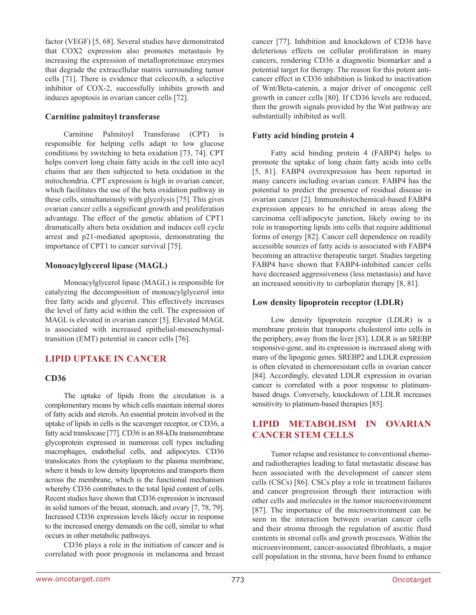factor (VEGF) [5, 68]. Several studies have demonstrated that COX2 expression also promotes metastasis by increasing the expression of metalloproteinase enzymes that degrade the extracellular matrix surrounding tumor cells [71]. There is evidence that celecoxib, a selective inhibitor of COX-2, successfully inhibits growth and induces apoptosis in ovarian cancer cells [72].

### **Carnitine palmitoyl transferase**

Carnitine Palmitoyl Transferase (CPT) is responsible for helping cells adapt to low glucose conditions by switching to beta oxidation [73, 74]. CPT helps convert long chain fatty acids in the cell into acyl chains that are then subjected to beta oxidation in the mitochondria. CPT expression is high in ovarian cancer, which facilitates the use of the beta oxidation pathway in these cells, simultaneously with glycolysis [75]. This gives ovarian cancer cells a significant growth and proliferation advantage. The effect of the genetic ablation of CPT1 dramatically alters beta oxidation and induces cell cycle arrest and p21-mediated apoptosis, demonstrating the importance of CPT1 to cancer survival [75].

## **Monoacylglycerol lipase (MAGL)**

Monoacylglycerol lipase (MAGL) is responsible for catalyzing the decomposition of monoacylglycerol into free fatty acids and glycerol. This effectively increases the level of fatty acid within the cell. The expression of MAGL is elevated in ovarian cancer [5]. Elevated MAGL is associated with increased epithelial-mesenchymaltransition (EMT) potential in cancer cells [76].

## **LIPID UPTAKE IN CANCER**

#### **CD36**

The uptake of lipids from the circulation is a complementary means by which cells maintain internal stores of fatty acids and sterols. An essential protein involved in the uptake of lipids in cells is the scavenger receptor, or CD36, a fatty acid translocase [77]. CD36 is an 88-kDa transmembrane glycoprotein expressed in numerous cell types including macrophages, endothelial cells, and adipocytes. CD36 translocates from the cytoplasm to the plasma membrane, where it binds to low density lipoproteins and transports them across the membrane, which is the functional mechanism whereby CD36 contributes to the total lipid content of cells. Recent studies have shown that CD36 expression is increased in solid tumors of the breast, stomach, and ovary [7, 78, 79]. Increased CD36 expression levels likely occur in response to the increased energy demands on the cell, similar to what occurs in other metabolic pathways.

CD36 plays a role in the initiation of cancer and is correlated with poor prognosis in melanoma and breast cancer [77]. Inhibition and knockdown of CD36 have deleterious effects on cellular proliferation in many cancers, rendering CD36 a diagnostic biomarker and a potential target for therapy. The reason for this potent anticancer effect in CD36 inhibition is linked to inactivation of Wnt/Beta-catenin, a major driver of oncogenic cell growth in cancer cells [80]. If CD36 levels are reduced, then the growth signals provided by the Wnt pathway are substantially inhibited as well.

### **Fatty acid binding protein 4**

Fatty acid binding protein 4 (FABP4) helps to promote the uptake of long chain fatty acids into cells [5, 81]. FABP4 overexpression has been reported in many cancers including ovarian cancer. FABP4 has the potential to predict the presence of residual disease in ovarian cancer [2]. Immunohistochemical-based FABP4 expression appears to be enriched in areas along the carcinoma cell/adipocyte junction, likely owing to its role in transporting lipids into cells that require additional forms of energy [82]. Cancer cell dependence on readily accessible sources of fatty acids is associated with FABP4 becoming an attractive therapeutic target. Studies targeting FABP4 have shown that FABP4-inhibited cancer cells have decreased aggressiveness (less metastasis) and have an increased sensitivity to carboplatin therapy [8, 81].

### **Low density lipoprotein receptor (LDLR)**

Low density lipoprotein receptor (LDLR) is a membrane protein that transports cholesterol into cells in the periphery, away from the liver [83]. LDLR is an SREBP responsive-gene, and its expression is increased along with many of the lipogenic genes. SREBP2 and LDLR expression is often elevated in chemoresistant cells in ovarian cancer [84]. Accordingly, elevated LDLR expression in ovarian cancer is correlated with a poor response to platinumbased drugs. Conversely, knockdown of LDLR increases sensitivity to platinum-based therapies [85].

## **LIPID METABOLISM IN OVARIAN CANCER STEM CELLS**

Tumor relapse and resistance to conventional chemoand radiotherapies leading to fatal metastatic disease has been associated with the development of cancer stem cells (CSCs) [86]. CSCs play a role in treatment failures and cancer progression through their interaction with other cells and molecules in the tumor microenvironment [87]. The importance of the microenvironment can be seen in the interaction between ovarian cancer cells and their stroma through the regulation of ascitic fluid contents in stromal cells and growth processes. Within the microenvironment, cancer-associated fibroblasts, a major cell population in the stroma, have been found to enhance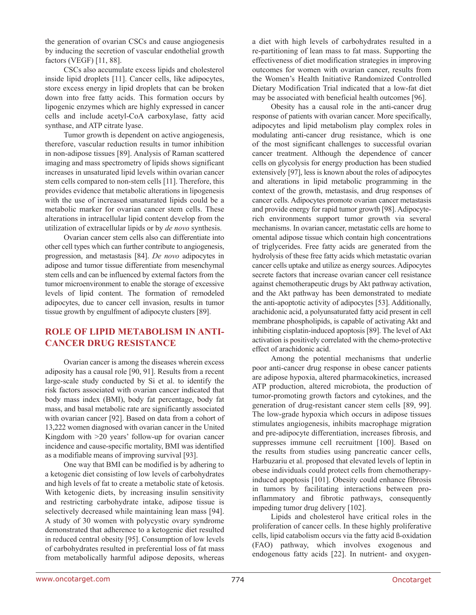the generation of ovarian CSCs and cause angiogenesis by inducing the secretion of vascular endothelial growth factors (VEGF) [11, 88].

CSCs also accumulate excess lipids and cholesterol inside lipid droplets [11]. Cancer cells, like adipocytes, store excess energy in lipid droplets that can be broken down into free fatty acids. This formation occurs by lipogenic enzymes which are highly expressed in cancer cells and include acetyl-CoA carboxylase, fatty acid synthase, and ATP citrate lyase.

Tumor growth is dependent on active angiogenesis, therefore, vascular reduction results in tumor inhibition in non-adipose tissues [89]. Analysis of Raman scattered imaging and mass spectrometry of lipids shows significant increases in unsaturated lipid levels within ovarian cancer stem cells compared to non-stem cells [11]. Therefore, this provides evidence that metabolic alterations in lipogenesis with the use of increased unsaturated lipids could be a metabolic marker for ovarian cancer stem cells. These alterations in intracellular lipid content develop from the utilization of extracellular lipids or by *de novo* synthesis.

Ovarian cancer stem cells also can differentiate into other cell types which can further contribute to angiogenesis, progression, and metastasis [84]. *De novo* adipocytes in adipose and tumor tissue differentiate from mesenchymal stem cells and can be influenced by external factors from the tumor microenvironment to enable the storage of excessive levels of lipid content. The formation of remodeled adipocytes, due to cancer cell invasion, results in tumor tissue growth by engulfment of adipocyte clusters [89].

## **ROLE OF LIPID METABOLISM IN ANTI-CANCER DRUG RESISTANCE**

Ovarian cancer is among the diseases wherein excess adiposity has a causal role [90, 91]. Results from a recent large-scale study conducted by Si et al. to identify the risk factors associated with ovarian cancer indicated that body mass index (BMI), body fat percentage, body fat mass, and basal metabolic rate are significantly associated with ovarian cancer [92]. Based on data from a cohort of 13,222 women diagnosed with ovarian cancer in the United Kingdom with >20 years' follow-up for ovarian cancer incidence and cause-specific mortality, BMI was identified as a modifiable means of improving survival [93].

One way that BMI can be modified is by adhering to a ketogenic diet consisting of low levels of carbohydrates and high levels of fat to create a metabolic state of ketosis. With ketogenic diets, by increasing insulin sensitivity and restricting carbohydrate intake, adipose tissue is selectively decreased while maintaining lean mass [94]. A study of 30 women with polycystic ovary syndrome demonstrated that adherence to a ketogenic diet resulted in reduced central obesity [95]. Consumption of low levels of carbohydrates resulted in preferential loss of fat mass from metabolically harmful adipose deposits, whereas a diet with high levels of carbohydrates resulted in a re-partitioning of lean mass to fat mass. Supporting the effectiveness of diet modification strategies in improving outcomes for women with ovarian cancer, results from the Women's Health Initiative Randomized Controlled Dietary Modification Trial indicated that a low-fat diet may be associated with beneficial health outcomes [96].

Obesity has a causal role in the anti-cancer drug response of patients with ovarian cancer. More specifically, adipocytes and lipid metabolism play complex roles in modulating anti-cancer drug resistance, which is one of the most significant challenges to successful ovarian cancer treatment. Although the dependence of cancer cells on glycolysis for energy production has been studied extensively [97], less is known about the roles of adipocytes and alterations in lipid metabolic programming in the context of the growth, metastasis, and drug responses of cancer cells. Adipocytes promote ovarian cancer metastasis and provide energy for rapid tumor growth [98]. Adipocyterich environments support tumor growth via several mechanisms. In ovarian cancer, metastatic cells are home to omental adipose tissue which contain high concentrations of triglycerides. Free fatty acids are generated from the hydrolysis of these free fatty acids which metastatic ovarian cancer cells uptake and utilize as energy sources. Adipocytes secrete factors that increase ovarian cancer cell resistance against chemotherapeutic drugs by Akt pathway activation, and the Akt pathway has been demonstrated to mediate the anti-apoptotic activity of adipocytes [53]. Additionally, arachidonic acid, a polyunsaturated fatty acid present in cell membrane phospholipids, is capable of activating Akt and inhibiting cisplatin-induced apoptosis [89]. The level of Akt activation is positively correlated with the chemo-protective effect of arachidonic acid.

Among the potential mechanisms that underlie poor anti-cancer drug response in obese cancer patients are adipose hypoxia, altered pharmacokinetics, increased ATP production, altered microbiota, the production of tumor-promoting growth factors and cytokines, and the generation of drug-resistant cancer stem cells [89, 99]. The low-grade hypoxia which occurs in adipose tissues stimulates angiogenesis, inhibits macrophage migration and pre-adipocyte differentiation, increases fibrosis, and suppresses immune cell recruitment [100]. Based on the results from studies using pancreatic cancer cells, Harbuzariu et al. proposed that elevated levels of leptin in obese individuals could protect cells from chemotherapyinduced apoptosis [101]. Obesity could enhance fibrosis in tumors by facilitating interactions between proinflammatory and fibrotic pathways, consequently impeding tumor drug delivery [102].

Lipids and cholesterol have critical roles in the proliferation of cancer cells. In these highly proliferative cells, lipid catabolism occurs via the fatty acid ß-oxidation (FAO) pathway, which involves exogenous and endogenous fatty acids [22]. In nutrient- and oxygen-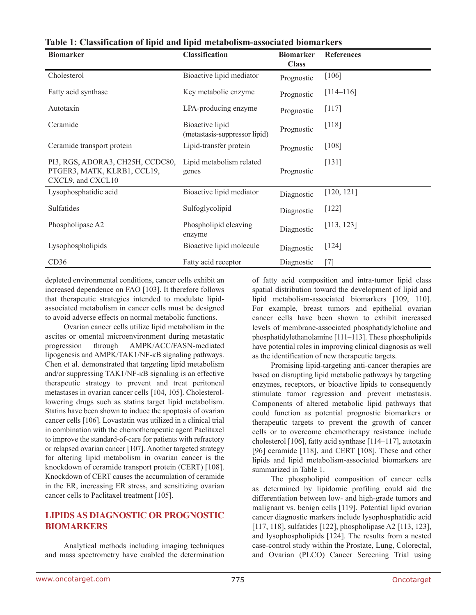| <b>Biomarker</b>                                                                     | Classification                                   | <b>Biomarker</b><br><b>Class</b> | <b>References</b> |
|--------------------------------------------------------------------------------------|--------------------------------------------------|----------------------------------|-------------------|
| Cholesterol                                                                          | Bioactive lipid mediator                         | Prognostic                       | $[106]$           |
| Fatty acid synthase                                                                  | Key metabolic enzyme                             | Prognostic                       | $[114 - 116]$     |
| Autotaxin                                                                            | LPA-producing enzyme                             | Prognostic                       | $[117]$           |
| Ceramide                                                                             | Bioactive lipid<br>(metastasis-suppressor lipid) | Prognostic                       | $[118]$           |
| Ceramide transport protein                                                           | Lipid-transfer protein                           | Prognostic                       | [108]             |
| PI3, RGS, ADORA3, CH25H, CCDC80,<br>PTGER3, MATK, KLRB1, CCL19,<br>CXCL9, and CXCL10 | Lipid metabolism related<br>genes                | Prognostic                       | $[131]$           |
| Lysophosphatidic acid                                                                | Bioactive lipid mediator                         | Diagnostic                       | [120, 121]        |
| Sulfatides                                                                           | Sulfoglycolipid                                  | Diagnostic                       | $[122]$           |
| Phospholipase A2                                                                     | Phospholipid cleaving<br>enzyme                  | Diagnostic                       | [113, 123]        |
| Lysophospholipids                                                                    | Bioactive lipid molecule                         | Diagnostic                       | $[124]$           |
| CD36                                                                                 | Fatty acid receptor                              | Diagnostic                       | $[7]$             |

**Table 1: Classification of lipid and lipid metabolism-associated biomarkers**

depleted environmental conditions, cancer cells exhibit an increased dependence on FAO [103]. It therefore follows that therapeutic strategies intended to modulate lipidassociated metabolism in cancer cells must be designed to avoid adverse effects on normal metabolic functions.

Ovarian cancer cells utilize lipid metabolism in the ascites or omental microenvironment during metastatic progression through AMPK/ACC/FASN-mediated lipogenesis and AMPK/TAK1/NF-κB signaling pathways. Chen et al. demonstrated that targeting lipid metabolism and/or suppressing TAK1/NF-κB signaling is an effective therapeutic strategy to prevent and treat peritoneal metastases in ovarian cancer cells [104, 105]. Cholesterollowering drugs such as statins target lipid metabolism. Statins have been shown to induce the apoptosis of ovarian cancer cells [106]. Lovastatin was utilized in a clinical trial in combination with the chemotherapeutic agent Paclitaxel to improve the standard-of-care for patients with refractory or relapsed ovarian cancer [107]. Another targeted strategy for altering lipid metabolism in ovarian cancer is the knockdown of ceramide transport protein (CERT) [108]. Knockdown of CERT causes the accumulation of ceramide in the ER, increasing ER stress, and sensitizing ovarian cancer cells to Paclitaxel treatment [105].

## **LIPIDS AS DIAGNOSTIC OR PROGNOSTIC BIOMARKERS**

Analytical methods including imaging techniques and mass spectrometry have enabled the determination of fatty acid composition and intra-tumor lipid class spatial distribution toward the development of lipid and lipid metabolism-associated biomarkers [109, 110]. For example, breast tumors and epithelial ovarian cancer cells have been shown to exhibit increased levels of membrane-associated phosphatidylcholine and phosphatidylethanolamine [111–113]. These phospholipids have potential roles in improving clinical diagnosis as well as the identification of new therapeutic targets.

Promising lipid-targeting anti-cancer therapies are based on disrupting lipid metabolic pathways by targeting enzymes, receptors, or bioactive lipids to consequently stimulate tumor regression and prevent metastasis. Components of altered metabolic lipid pathways that could function as potential prognostic biomarkers or therapeutic targets to prevent the growth of cancer cells or to overcome chemotherapy resistance include cholesterol [106], fatty acid synthase [114–117], autotaxin [96] ceramide [118], and CERT [108]. These and other lipids and lipid metabolism-associated biomarkers are summarized in Table 1.

The phospholipid composition of cancer cells as determined by lipidomic profiling could aid the differentiation between low- and high-grade tumors and malignant vs. benign cells [119]. Potential lipid ovarian cancer diagnostic markers include lysophosphatidic acid [117, 118], sulfatides [122], phospholipase A2 [113, 123], and lysophospholipids [124]. The results from a nested case-control study within the Prostate, Lung, Colorectal, and Ovarian (PLCO) Cancer Screening Trial using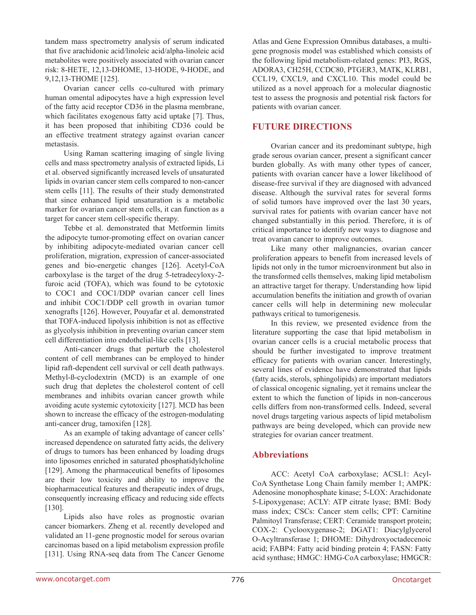tandem mass spectrometry analysis of serum indicated that five arachidonic acid/linoleic acid/alpha-linoleic acid metabolites were positively associated with ovarian cancer risk: 8-HETE, 12,13-DHOME, 13-HODE, 9-HODE, and 9,12,13-THOME [125].

Ovarian cancer cells co-cultured with primary human omental adipocytes have a high expression level of the fatty acid receptor CD36 in the plasma membrane, which facilitates exogenous fatty acid uptake [7]. Thus, it has been proposed that inhibiting CD36 could be an effective treatment strategy against ovarian cancer metastasis.

Using Raman scattering imaging of single living cells and mass spectrometry analysis of extracted lipids, Li et al. observed significantly increased levels of unsaturated lipids in ovarian cancer stem cells compared to non-cancer stem cells [11]. The results of their study demonstrated that since enhanced lipid unsaturation is a metabolic marker for ovarian cancer stem cells, it can function as a target for cancer stem cell-specific therapy.

Tebbe et al. demonstrated that Metformin limits the adipocyte tumor-promoting effect on ovarian cancer by inhibiting adipocyte-mediated ovarian cancer cell proliferation, migration, expression of cancer-associated genes and bio-energetic changes [126]. Acetyl-CoA carboxylase is the target of the drug 5-tetradecyloxy-2 furoic acid (TOFA), which was found to be cytotoxic to COC1 and COC1/DDP ovarian cancer cell lines and inhibit COC1/DDP cell growth in ovarian tumor xenografts [126]. However, Pouyafar et al. demonstrated that TOFA-induced lipolysis inhibition is not as effective as glycolysis inhibition in preventing ovarian cancer stem cell differentiation into endothelial-like cells [13].

Anti-cancer drugs that perturb the cholesterol content of cell membranes can be employed to hinder lipid raft-dependent cell survival or cell death pathways. Methyl-ß-cyclodextrin (MCD) is an example of one such drug that depletes the cholesterol content of cell membranes and inhibits ovarian cancer growth while avoiding acute systemic cytotoxicity [127]. MCD has been shown to increase the efficacy of the estrogen-modulating anti-cancer drug, tamoxifen [128].

As an example of taking advantage of cancer cells' increased dependence on saturated fatty acids, the delivery of drugs to tumors has been enhanced by loading drugs into liposomes enriched in saturated phosphatidylcholine [129]. Among the pharmaceutical benefits of liposomes are their low toxicity and ability to improve the biopharmaceutical features and therapeutic index of drugs, consequently increasing efficacy and reducing side effects [130].

Lipids also have roles as prognostic ovarian cancer biomarkers. Zheng et al. recently developed and validated an 11-gene prognostic model for serous ovarian carcinomas based on a lipid metabolism expression profile [131]. Using RNA-seq data from The Cancer Genome Atlas and Gene Expression Omnibus databases, a multigene prognosis model was established which consists of the following lipid metabolism-related genes: PI3, RGS, ADORA3, CH25H, CCDC80, PTGER3, MATK, KLRB1, CCL19, CXCL9, and CXCL10. This model could be utilized as a novel approach for a molecular diagnostic test to assess the prognosis and potential risk factors for patients with ovarian cancer.

## **FUTURE DIRECTIONS**

Ovarian cancer and its predominant subtype, high grade serous ovarian cancer, present a significant cancer burden globally. As with many other types of cancer, patients with ovarian cancer have a lower likelihood of disease-free survival if they are diagnosed with advanced disease. Although the survival rates for several forms of solid tumors have improved over the last 30 years, survival rates for patients with ovarian cancer have not changed substantially in this period. Therefore, it is of critical importance to identify new ways to diagnose and treat ovarian cancer to improve outcomes.

Like many other malignancies, ovarian cancer proliferation appears to benefit from increased levels of lipids not only in the tumor microenvironment but also in the transformed cells themselves, making lipid metabolism an attractive target for therapy. Understanding how lipid accumulation benefits the initiation and growth of ovarian cancer cells will help in determining new molecular pathways critical to tumorigenesis.

In this review, we presented evidence from the literature supporting the case that lipid metabolism in ovarian cancer cells is a crucial metabolic process that should be further investigated to improve treatment efficacy for patients with ovarian cancer. Interestingly, several lines of evidence have demonstrated that lipids (fatty acids, sterols, sphingolipids) are important mediators of classical oncogenic signaling, yet it remains unclear the extent to which the function of lipids in non-cancerous cells differs from non-transformed cells. Indeed, several novel drugs targeting various aspects of lipid metabolism pathways are being developed, which can provide new strategies for ovarian cancer treatment.

## **Abbreviations**

ACC: Acetyl CoA carboxylase; ACSL1: Acyl-CoA Synthetase Long Chain family member 1; AMPK: Adenosine monophosphate kinase; 5-LOX: Arachidonate 5-Lipoxygenase; ACLY: ATP citrate lyase; BMI: Body mass index; CSCs: Cancer stem cells; CPT: Carnitine Palmitoyl Transferase; CERT: Ceramide transport protein; COX-2: Cyclooxygenase-2; DGAT1: Diacylglycerol O-Acyltransferase 1; DHOME: Dihydroxyoctadecenoic acid; FABP4: Fatty acid binding protein 4; FASN: Fatty acid synthase; HMGC: HMG-CoA carboxylase; HMGCR: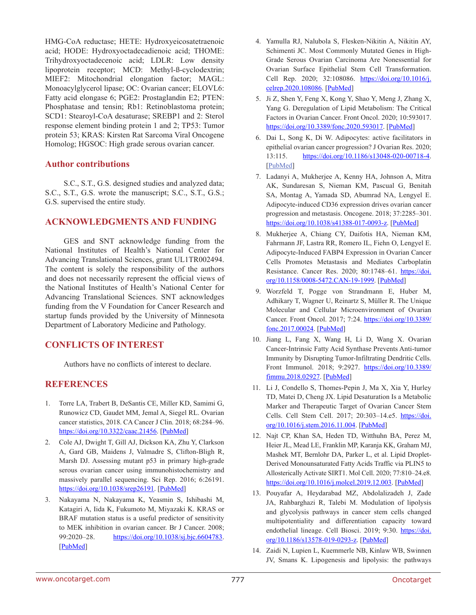HMG-CoA reductase; HETE: Hydroxyeicosatetraenoic acid; HODE: Hydroxyoctadecadienoic acid; THOME: Trihydroxyoctadecenoic acid; LDLR: Low density lipoprotein receptor; MCD: Methyl-ß-cyclodextrin; MIEF2: Mitochondrial elongation factor; MAGL: Monoacylglycerol lipase; OC: Ovarian cancer; ELOVL6: Fatty acid elongase 6; PGE2: Prostaglandin E2; PTEN: Phosphatase and tensin; Rb1: Retinoblastoma protein; SCD1: Stearoyl-CoA desaturase; SREBP1 and 2: Sterol response element binding protein 1 and 2; TP53: Tumor protein 53; KRAS: Kirsten Rat Sarcoma Viral Oncogene Homolog; HGSOC: High grade serous ovarian cancer.

### **Author contributions**

S.C., S.T., G.S. designed studies and analyzed data; S.C., S.T., G.S. wrote the manuscript; S.C., S.T., G.S.; G.S. supervised the entire study.

### **ACKNOWLEDGMENTS AND FUNDING**

GES and SNT acknowledge funding from the National Institutes of Health's National Center for Advancing Translational Sciences, grant UL1TR002494. The content is solely the responsibility of the authors and does not necessarily represent the official views of the National Institutes of Health's National Center for Advancing Translational Sciences. SNT acknowledges funding from the V Foundation for Cancer Research and startup funds provided by the University of Minnesota Department of Laboratory Medicine and Pathology.

## **CONFLICTS OF INTEREST**

Authors have no conflicts of interest to declare.

## **REFERENCES**

- 1. Torre LA, Trabert B, DeSantis CE, Miller KD, Samimi G, Runowicz CD, Gaudet MM, Jemal A, Siegel RL. Ovarian cancer statistics, 2018. CA Cancer J Clin. 2018; 68:284–96. [https://doi.org/10.3322/caac.21456.](https://doi.org/10.3322/caac.21456) [\[PubMed\]](https://pubmed.ncbi.nlm.nih.gov/29809280)
- 2. Cole AJ, Dwight T, Gill AJ, Dickson KA, Zhu Y, Clarkson A, Gard GB, Maidens J, Valmadre S, Clifton-Bligh R, Marsh DJ. Assessing mutant p53 in primary high-grade serous ovarian cancer using immunohistochemistry and massively parallel sequencing. Sci Rep. 2016; 6:26191. <https://doi.org/10.1038/srep26191>. [[PubMed](https://pubmed.ncbi.nlm.nih.gov/27189670)]
- 3. Nakayama N, Nakayama K, Yeasmin S, Ishibashi M, Katagiri A, Iida K, Fukumoto M, Miyazaki K. KRAS or BRAF mutation status is a useful predictor of sensitivity to MEK inhibition in ovarian cancer. Br J Cancer. 2008; 99:2020–28. <https://doi.org/10.1038/sj.bjc.6604783>. [[PubMed\]](https://pubmed.ncbi.nlm.nih.gov/19018267)
- 4. Yamulla RJ, Nalubola S, Flesken-Nikitin A, Nikitin AY, Schimenti JC. Most Commonly Mutated Genes in High-Grade Serous Ovarian Carcinoma Are Nonessential for Ovarian Surface Epithelial Stem Cell Transformation. Cell Rep. 2020; 32:108086. [https://doi.org/10.1016/j.](https://doi.org/10.1016/j.celrep.2020.108086) [celrep.2020.108086.](https://doi.org/10.1016/j.celrep.2020.108086) [\[PubMed\]](https://pubmed.ncbi.nlm.nih.gov/32877668)
- 5. Ji Z, Shen Y, Feng X, Kong Y, Shao Y, Meng J, Zhang X, Yang G. Deregulation of Lipid Metabolism: The Critical Factors in Ovarian Cancer. Front Oncol. 2020; 10:593017. [https://doi.org/10.3389/fonc.2020.593017.](https://doi.org/10.3389/fonc.2020.593017) [\[PubMed\]](https://pubmed.ncbi.nlm.nih.gov/33194756)
- 6. Dai L, Song K, Di W. Adipocytes: active facilitators in epithelial ovarian cancer progression? J Ovarian Res. 2020; 13:115. [https://doi.org/10.1186/s13048-020-00718-4.](https://doi.org/10.1186/s13048-020-00718-4) [\[PubMed\]](https://pubmed.ncbi.nlm.nih.gov/32967712)
- 7. Ladanyi A, Mukherjee A, Kenny HA, Johnson A, Mitra AK, Sundaresan S, Nieman KM, Pascual G, Benitah SA, Montag A, Yamada SD, Abumrad NA, Lengyel E. Adipocyte-induced CD36 expression drives ovarian cancer progression and metastasis. Oncogene. 2018; 37:2285–301. [https://doi.org/10.1038/s41388-017-0093-z.](https://doi.org/10.1038/s41388-017-0093-z) [\[PubMed\]](https://pubmed.ncbi.nlm.nih.gov/29398710)
- 8. Mukherjee A, Chiang CY, Daifotis HA, Nieman KM, Fahrmann JF, Lastra RR, Romero IL, Fiehn O, Lengyel E. Adipocyte-Induced FABP4 Expression in Ovarian Cancer Cells Promotes Metastasis and Mediates Carboplatin Resistance. Cancer Res. 2020; 80:1748-61. [https://doi.](https://doi.org/10.1158/0008-5472.CAN-19-1999) [org/10.1158/0008-5472.CAN-19-1999](https://doi.org/10.1158/0008-5472.CAN-19-1999). [[PubMed](https://pubmed.ncbi.nlm.nih.gov/32054768)]
- 9. Worzfeld T, Pogge von Strandmann E, Huber M, Adhikary T, Wagner U, Reinartz S, Müller R. The Unique Molecular and Cellular Microenvironment of Ovarian Cancer. Front Oncol. 2017; 7:24. [https://doi.org/10.3389/](https://doi.org/10.3389/fonc.2017.00024) [fonc.2017.00024](https://doi.org/10.3389/fonc.2017.00024). [[PubMed](https://pubmed.ncbi.nlm.nih.gov/28275576)]
- 10. Jiang L, Fang X, Wang H, Li D, Wang X. Ovarian Cancer-Intrinsic Fatty Acid Synthase Prevents Anti-tumor Immunity by Disrupting Tumor-Infiltrating Dendritic Cells. Front Immunol. 2018; 9:2927. [https://doi.org/10.3389/](https://doi.org/10.3389/fimmu.2018.02927) [fimmu.2018.02927](https://doi.org/10.3389/fimmu.2018.02927). [[PubMed](https://pubmed.ncbi.nlm.nih.gov/30619288)]
- 11. Li J, Condello S, Thomes-Pepin J, Ma X, Xia Y, Hurley TD, Matei D, Cheng JX. Lipid Desaturation Is a Metabolic Marker and Therapeutic Target of Ovarian Cancer Stem Cells. Cell Stem Cell. 2017; 20:303–14.e5. [https://doi.](https://doi.org/10.1016/j.stem.2016.11.004) [org/10.1016/j.stem.2016.11.004](https://doi.org/10.1016/j.stem.2016.11.004). [[PubMed](https://pubmed.ncbi.nlm.nih.gov/28041894)]
- 12. Najt CP, Khan SA, Heden TD, Witthuhn BA, Perez M, Heier JL, Mead LE, Franklin MP, Karanja KK, Graham MJ, Mashek MT, Bernlohr DA, Parker L, et al. Lipid Droplet-Derived Monounsaturated Fatty Acids Traffic via PLIN5 to Allosterically Activate SIRT1. Mol Cell. 2020; 77:810–24.e8. [https://doi.org/10.1016/j.molcel.2019.12.003.](https://doi.org/10.1016/j.molcel.2019.12.003) [\[PubMed\]](https://pubmed.ncbi.nlm.nih.gov/31901447)
- 13. Pouyafar A, Heydarabad MZ, Abdolalizadeh J, Zade JA, Rahbarghazi R, Talebi M. Modulation of lipolysis and glycolysis pathways in cancer stem cells changed multipotentiality and differentiation capacity toward endothelial lineage. Cell Biosci. 2019; 9:30. [https://doi.](https://doi.org/10.1186/s13578-019-0293-z) [org/10.1186/s13578-019-0293-z.](https://doi.org/10.1186/s13578-019-0293-z) [\[PubMed\]](https://pubmed.ncbi.nlm.nih.gov/30962872)
- 14. Zaidi N, Lupien L, Kuemmerle NB, Kinlaw WB, Swinnen JV, Smans K. Lipogenesis and lipolysis: the pathways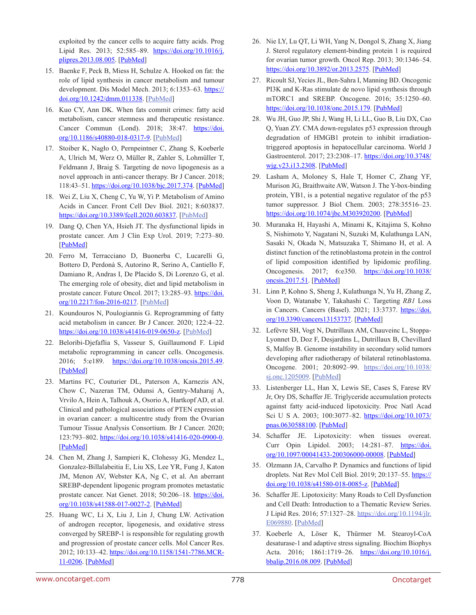exploited by the cancer cells to acquire fatty acids. Prog Lipid Res. 2013; 52:585-89. [https://doi.org/10.1016/j.](https://doi.org/10.1016/j.plipres.2013.08.005) [plipres.2013.08.005.](https://doi.org/10.1016/j.plipres.2013.08.005) [\[PubMed\]](https://pubmed.ncbi.nlm.nih.gov/24001676)

- 15. Baenke F, Peck B, Miess H, Schulze A. Hooked on fat: the role of lipid synthesis in cancer metabolism and tumour development. Dis Model Mech. 2013; 6:1353-63. [https://](https://doi.org/10.1242/dmm.011338) [doi.org/10.1242/dmm.011338](https://doi.org/10.1242/dmm.011338). [[PubMed](https://pubmed.ncbi.nlm.nih.gov/24203995)]
- 16. Kuo CY, Ann DK. When fats commit crimes: fatty acid metabolism, cancer stemness and therapeutic resistance. Cancer Commun (Lond). 2018; 38:47. [https://doi.](https://doi.org/10.1186/s40880-018-0317-9) [org/10.1186/s40880-018-0317-9.](https://doi.org/10.1186/s40880-018-0317-9) [\[PubMed\]](https://pubmed.ncbi.nlm.nih.gov/29996946)
- 17. Stoiber K, Nagło O, Pernpeintner C, Zhang S, Koeberle A, Ulrich M, Werz O, Müller R, Zahler S, Lohmüller T, Feldmann J, Braig S. Targeting de novo lipogenesis as a novel approach in anti-cancer therapy. Br J Cancer. 2018; 118:43–51.<https://doi.org/10.1038/bjc.2017.374>. [\[PubMed\]](https://pubmed.ncbi.nlm.nih.gov/29112683)
- 18. Wei Z, Liu X, Cheng C, Yu W, Yi P. Metabolism of Amino Acids in Cancer. Front Cell Dev Biol. 2021; 8:603837. <https://doi.org/10.3389/fcell.2020.603837>. [[PubMed](https://pubmed.ncbi.nlm.nih.gov/33511116)]
- 19. Dang Q, Chen YA, Hsieh JT. The dysfunctional lipids in prostate cancer. Am J Clin Exp Urol. 2019; 7:273–80. [[PubMed\]](https://pubmed.ncbi.nlm.nih.gov/31511833)
- 20. Ferro M, Terracciano D, Buonerba C, Lucarelli G, Bottero D, Perdonà S, Autorino R, Serino A, Cantiello F, Damiano R, Andras I, De Placido S, Di Lorenzo G, et al. The emerging role of obesity, diet and lipid metabolism in prostate cancer. Future Oncol. 2017; 13:285–93. [https://doi.](https://doi.org/10.2217/fon-2016-0217) [org/10.2217/fon-2016-0217](https://doi.org/10.2217/fon-2016-0217). [[PubMed](https://pubmed.ncbi.nlm.nih.gov/27624840)]
- 21. Koundouros N, Poulogiannis G. Reprogramming of fatty acid metabolism in cancer. Br J Cancer. 2020; 122:4–22. <https://doi.org/10.1038/s41416-019-0650-z>. [[PubMed](https://pubmed.ncbi.nlm.nih.gov/31819192)]
- 22. Beloribi-Djefaflia S, Vasseur S, Guillaumond F. Lipid metabolic reprogramming in cancer cells. Oncogenesis. 2016; 5:e189. <https://doi.org/10.1038/oncsis.2015.49>. [[PubMed\]](https://pubmed.ncbi.nlm.nih.gov/26807644)
- 23. Martins FC, Couturier DL, Paterson A, Karnezis AN, Chow C, Nazeran TM, Odunsi A, Gentry-Maharaj A, Vrvilo A, Hein A, Talhouk A, Osorio A, Hartkopf AD, et al. Clinical and pathological associations of PTEN expression in ovarian cancer: a multicentre study from the Ovarian Tumour Tissue Analysis Consortium. Br J Cancer. 2020; 123:793–802. <https://doi.org/10.1038/s41416-020-0900-0>. [[PubMed\]](https://pubmed.ncbi.nlm.nih.gov/32555365)
- 24. Chen M, Zhang J, Sampieri K, Clohessy JG, Mendez L, Gonzalez-Billalabeitia E, Liu XS, Lee YR, Fung J, Katon JM, Menon AV, Webster KA, Ng C, et al. An aberrant SREBP-dependent lipogenic program promotes metastatic prostate cancer. Nat Genet. 2018; 50:206-18. [https://doi.](https://doi.org/10.1038/s41588-017-0027-2) [org/10.1038/s41588-017-0027-2](https://doi.org/10.1038/s41588-017-0027-2). [[PubMed](https://pubmed.ncbi.nlm.nih.gov/29335545)]
- 25. Huang WC, Li X, Liu J, Lin J, Chung LW. Activation of androgen receptor, lipogenesis, and oxidative stress converged by SREBP-1 is responsible for regulating growth and progression of prostate cancer cells. Mol Cancer Res. 2012; 10:133–42. [https://doi.org/10.1158/1541-7786.MCR-](https://doi.org/10.1158/1541-7786.MCR-11-0206)[11-0206.](https://doi.org/10.1158/1541-7786.MCR-11-0206) [\[PubMed\]](https://pubmed.ncbi.nlm.nih.gov/22064655)
- 26. Nie LY, Lu QT, Li WH, Yang N, Dongol S, Zhang X, Jiang J. Sterol regulatory element-binding protein 1 is required for ovarian tumor growth. Oncol Rep. 2013; 30:1346–54. [https://doi.org/10.3892/or.2013.2575.](https://doi.org/10.3892/or.2013.2575) [\[PubMed\]](https://pubmed.ncbi.nlm.nih.gov/23818099)
- 27. Ricoult SJ, Yecies JL, Ben-Sahra I, Manning BD. Oncogenic PI3K and K-Ras stimulate de novo lipid synthesis through mTORC1 and SREBP. Oncogene. 2016; 35:1250–60. <https://doi.org/10.1038/onc.2015.179>. [[PubMed](https://pubmed.ncbi.nlm.nih.gov/26028026)]
- 28. Wu JH, Guo JP, Shi J, Wang H, Li LL, Guo B, Liu DX, Cao Q, Yuan ZY. CMA down-regulates p53 expression through degradation of HMGB1 protein to inhibit irradiationtriggered apoptosis in hepatocellular carcinoma. World J Gastroenterol. 2017; 23:2308–17. [https://doi.org/10.3748/](https://doi.org/10.3748/wjg.v23.i13.2308) [wjg.v23.i13.2308.](https://doi.org/10.3748/wjg.v23.i13.2308) [\[PubMed\]](https://pubmed.ncbi.nlm.nih.gov/28428710)
- 29. Lasham A, Moloney S, Hale T, Homer C, Zhang YF, Murison JG, Braithwaite AW, Watson J. The Y-box-binding protein, YB1, is a potential negative regulator of the p53 tumor suppressor. J Biol Chem. 2003; 278:35516–23. <https://doi.org/10.1074/jbc.M303920200>. [[PubMed](https://pubmed.ncbi.nlm.nih.gov/12835324)]
- 30. Muranaka H, Hayashi A, Minami K, Kitajima S, Kohno S, Nishimoto Y, Nagatani N, Suzuki M, Kulathunga LAN, Sasaki N, Okada N, Matsuzaka T, Shimano H, et al. A distinct function of the retinoblastoma protein in the control of lipid composition identified by lipidomic profiling. Oncogenesis. 2017; 6:e350. [https://doi.org/10.1038/](https://doi.org/10.1038/oncsis.2017.51) [oncsis.2017.51](https://doi.org/10.1038/oncsis.2017.51). [[PubMed](https://pubmed.ncbi.nlm.nih.gov/28650445)]
- 31. Linn P, Kohno S, Sheng J, Kulathunga N, Yu H, Zhang Z, Voon D, Watanabe Y, Takahashi C. Targeting *RB1* Loss in Cancers. Cancers (Basel). 2021; 13:3737. [https://doi.](https://doi.org/10.3390/cancers13153737) [org/10.3390/cancers13153737.](https://doi.org/10.3390/cancers13153737) [\[PubMed\]](https://pubmed.ncbi.nlm.nih.gov/34359636)
- 32. Lefèvre SH, Vogt N, Dutrillaux AM, Chauveinc L, Stoppa-Lyonnet D, Doz F, Desjardins L, Dutrillaux B, Chevillard S, Malfoy B. Genome instability in secondary solid tumors developing after radiotherapy of bilateral retinoblastoma. Oncogene. 2001; 20:8092–99. [https://doi.org/10.1038/](https://doi.org/10.1038/sj.onc.1205009) [sj.onc.1205009](https://doi.org/10.1038/sj.onc.1205009). [[PubMed](https://pubmed.ncbi.nlm.nih.gov/11781822)]
- 33. Listenberger LL, Han X, Lewis SE, Cases S, Farese RV Jr, Ory DS, Schaffer JE. Triglyceride accumulation protects against fatty acid-induced lipotoxicity. Proc Natl Acad Sci U S A. 2003; 100:3077-82. [https://doi.org/10.1073/](https://doi.org/10.1073/pnas.0630588100) [pnas.0630588100](https://doi.org/10.1073/pnas.0630588100). [[PubMed](https://pubmed.ncbi.nlm.nih.gov/12629214)]
- 34. Schaffer JE. Lipotoxicity: when tissues overeat. Curr Opin Lipidol. 2003; 14:281–87. [https://doi.](https://doi.org/10.1097/00041433-200306000-00008) [org/10.1097/00041433-200306000-00008.](https://doi.org/10.1097/00041433-200306000-00008) [\[PubMed\]](https://pubmed.ncbi.nlm.nih.gov/12840659)
- 35. Olzmann JA, Carvalho P. Dynamics and functions of lipid droplets. Nat Rev Mol Cell Biol. 2019; 20:137-55. [https://](https://doi.org/10.1038/s41580-018-0085-z) [doi.org/10.1038/s41580-018-0085-z.](https://doi.org/10.1038/s41580-018-0085-z) [\[PubMed\]](https://pubmed.ncbi.nlm.nih.gov/30523332)
- 36. Schaffer JE. Lipotoxicity: Many Roads to Cell Dysfunction and Cell Death: Introduction to a Thematic Review Series. J Lipid Res. 2016; 57:1327–28. [https://doi.org/10.1194/jlr.](https://doi.org/10.1194/jlr.E069880) [E069880.](https://doi.org/10.1194/jlr.E069880) [\[PubMed\]](https://pubmed.ncbi.nlm.nih.gov/27260998)
- 37. Koeberle A, Löser K, Thürmer M. Stearoyl-CoA desaturase-1 and adaptive stress signaling. Biochim Biophys Acta. 2016; 1861:1719-26. [https://doi.org/10.1016/j.](https://doi.org/10.1016/j.bbalip.2016.08.009) [bbalip.2016.08.009](https://doi.org/10.1016/j.bbalip.2016.08.009). [[PubMed](https://pubmed.ncbi.nlm.nih.gov/27550503)]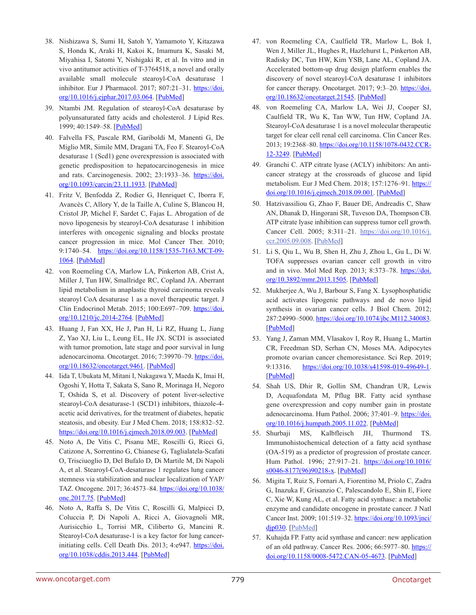- 38. Nishizawa S, Sumi H, Satoh Y, Yamamoto Y, Kitazawa S, Honda K, Araki H, Kakoi K, Imamura K, Sasaki M, Miyahisa I, Satomi Y, Nishigaki R, et al. In vitro and in vivo antitumor activities of T-3764518, a novel and orally available small molecule stearoyl-CoA desaturase 1 inhibitor. Eur J Pharmacol. 2017; 807:21–31. [https://doi.](https://doi.org/10.1016/j.ejphar.2017.03.064) [org/10.1016/j.ejphar.2017.03.064](https://doi.org/10.1016/j.ejphar.2017.03.064). [[PubMed](https://pubmed.ncbi.nlm.nih.gov/28442322)]
- 39. Ntambi JM. Regulation of stearoyl-CoA desaturase by polyunsaturated fatty acids and cholesterol. J Lipid Res. 1999; 40:1549-58. [\[PubMed\]](https://pubmed.ncbi.nlm.nih.gov/10484602)
- 40. Falvella FS, Pascale RM, Gariboldi M, Manenti G, De Miglio MR, Simile MM, Dragani TA, Feo F. Stearoyl-CoA desaturase 1 (Scd1) gene overexpression is associated with genetic predisposition to hepatocarcinogenesis in mice and rats. Carcinogenesis. 2002; 23:1933–36. [https://doi.](https://doi.org/10.1093/carcin/23.11.1933) [org/10.1093/carcin/23.11.1933.](https://doi.org/10.1093/carcin/23.11.1933) [\[PubMed\]](https://pubmed.ncbi.nlm.nih.gov/12419843)
- 41. Fritz V, Benfodda Z, Rodier G, Henriquet C, Iborra F, Avancès C, Allory Y, de la Taille A, Culine S, Blancou H, Cristol JP, Michel F, Sardet C, Fajas L. Abrogation of de novo lipogenesis by stearoyl-CoA desaturase 1 inhibition interferes with oncogenic signaling and blocks prostate cancer progression in mice. Mol Cancer Ther. 2010; 9:1740–54. [https://doi.org/10.1158/1535-7163.MCT-09-](https://doi.org/10.1158/1535-7163.MCT-09-1064) [1064](https://doi.org/10.1158/1535-7163.MCT-09-1064). [\[PubMed\]](https://pubmed.ncbi.nlm.nih.gov/20530718)
- 42. von Roemeling CA, Marlow LA, Pinkerton AB, Crist A, Miller J, Tun HW, Smallridge RC, Copland JA. Aberrant lipid metabolism in anaplastic thyroid carcinoma reveals stearoyl CoA desaturase 1 as a novel therapeutic target. J Clin Endocrinol Metab. 2015; 100:E697–709. [https://doi.](https://doi.org/10.1210/jc.2014-2764) [org/10.1210/jc.2014-2764.](https://doi.org/10.1210/jc.2014-2764) [\[PubMed\]](https://pubmed.ncbi.nlm.nih.gov/25675381)
- 43. Huang J, Fan XX, He J, Pan H, Li RZ, Huang L, Jiang Z, Yao XJ, Liu L, Leung EL, He JX. SCD1 is associated with tumor promotion, late stage and poor survival in lung adenocarcinoma. Oncotarget. 2016; 7:39970–79. [https://doi.](https://doi.org/10.18632/oncotarget.9461) [org/10.18632/oncotarget.9461.](https://doi.org/10.18632/oncotarget.9461) [\[PubMed\]](https://pubmed.ncbi.nlm.nih.gov/27223066)
- 44. Iida T, Ubukata M, Mitani I, Nakagawa Y, Maeda K, Imai H, Ogoshi Y, Hotta T, Sakata S, Sano R, Morinaga H, Negoro T, Oshida S, et al. Discovery of potent liver-selective stearoyl-CoA desaturase-1 (SCD1) inhibitors, thiazole-4 acetic acid derivatives, for the treatment of diabetes, hepatic steatosis, and obesity. Eur J Med Chem. 2018; 158:832–52. [https://doi.org/10.1016/j.ejmech.2018.09.003.](https://doi.org/10.1016/j.ejmech.2018.09.003) [\[PubMed\]](https://pubmed.ncbi.nlm.nih.gov/30248655)
- 45. Noto A, De Vitis C, Pisanu ME, Roscilli G, Ricci G, Catizone A, Sorrentino G, Chianese G, Taglialatela-Scafati O, Trisciuoglio D, Del Bufalo D, Di Martile M, Di Napoli A, et al. Stearoyl-CoA-desaturase 1 regulates lung cancer stemness via stabilization and nuclear localization of YAP/ TAZ. Oncogene. 2017; 36:4573–84. [https://doi.org/10.1038/](https://doi.org/10.1038/onc.2017.75) [onc.2017.75](https://doi.org/10.1038/onc.2017.75). [[PubMed](https://pubmed.ncbi.nlm.nih.gov/28368399)]
- 46. Noto A, Raffa S, De Vitis C, Roscilli G, Malpicci D, Coluccia P, Di Napoli A, Ricci A, Giovagnoli MR, Aurisicchio L, Torrisi MR, Ciliberto G, Mancini R. Stearoyl-CoA desaturase-1 is a key factor for lung cancerinitiating cells. Cell Death Dis. 2013; 4:e947. [https://doi.](https://doi.org/10.1038/cddis.2013.444) [org/10.1038/cddis.2013.444](https://doi.org/10.1038/cddis.2013.444). [[PubMed](https://pubmed.ncbi.nlm.nih.gov/24309934)]
- 47. von Roemeling CA, Caulfield TR, Marlow L, Bok I, Wen J, Miller JL, Hughes R, Hazlehurst L, Pinkerton AB, Radisky DC, Tun HW, Kim YSB, Lane AL, Copland JA. Accelerated bottom-up drug design platform enables the discovery of novel stearoyl-CoA desaturase 1 inhibitors for cancer therapy. Oncotarget. 2017; 9:3-20. [https://doi.](https://doi.org/10.18632/oncotarget.21545) [org/10.18632/oncotarget.21545.](https://doi.org/10.18632/oncotarget.21545) [\[PubMed\]](https://pubmed.ncbi.nlm.nih.gov/29416592)
- 48. von Roemeling CA, Marlow LA, Wei JJ, Cooper SJ, Caulfield TR, Wu K, Tan WW, Tun HW, Copland JA. Stearoyl-CoA desaturase 1 is a novel molecular therapeutic target for clear cell renal cell carcinoma. Clin Cancer Res. 2013; 19:2368-80. [https://doi.org/10.1158/1078-0432.CCR-](https://doi.org/10.1158/1078-0432.CCR-12-3249)[12-3249](https://doi.org/10.1158/1078-0432.CCR-12-3249). [[PubMed](https://pubmed.ncbi.nlm.nih.gov/23633458)]
- 49. Granchi C. ATP citrate lyase (ACLY) inhibitors: An anticancer strategy at the crossroads of glucose and lipid metabolism. Eur J Med Chem. 2018; 157:1276-91. [https://](https://doi.org/10.1016/j.ejmech.2018.09.001) [doi.org/10.1016/j.ejmech.2018.09.001](https://doi.org/10.1016/j.ejmech.2018.09.001). [[PubMed](https://pubmed.ncbi.nlm.nih.gov/30195238)]
- 50. Hatzivassiliou G, Zhao F, Bauer DE, Andreadis C, Shaw AN, Dhanak D, Hingorani SR, Tuveson DA, Thompson CB. ATP citrate lyase inhibition can suppress tumor cell growth. Cancer Cell. 2005; 8:311–21. [https://doi.org/10.1016/j.](https://doi.org/10.1016/j.ccr.2005.09.008) [ccr.2005.09.008](https://doi.org/10.1016/j.ccr.2005.09.008). [[PubMed](https://pubmed.ncbi.nlm.nih.gov/16226706)]
- 51. Li S, Qiu L, Wu B, Shen H, Zhu J, Zhou L, Gu L, Di W. TOFA suppresses ovarian cancer cell growth in vitro and in vivo. Mol Med Rep. 2013; 8:373–78. [https://doi.](https://doi.org/10.3892/mmr.2013.1505) [org/10.3892/mmr.2013.1505.](https://doi.org/10.3892/mmr.2013.1505) [\[PubMed\]](https://pubmed.ncbi.nlm.nih.gov/23732836)
- 52. Mukherjee A, Wu J, Barbour S, Fang X. Lysophosphatidic acid activates lipogenic pathways and de novo lipid synthesis in ovarian cancer cells. J Biol Chem. 2012; 287:24990-5000. [https://doi.org/10.1074/jbc.M112.340083.](https://doi.org/10.1074/jbc.M112.340083) [\[PubMed\]](https://pubmed.ncbi.nlm.nih.gov/22665482)
- 53. Yang J, Zaman MM, Vlasakov I, Roy R, Huang L, Martin CR, Freedman SD, Serhan CN, Moses MA. Adipocytes promote ovarian cancer chemoresistance. Sci Rep. 2019; 9:13316. [https://doi.org/10.1038/s41598-019-49649-1.](https://doi.org/10.1038/s41598-019-49649-1) [\[PubMed\]](https://pubmed.ncbi.nlm.nih.gov/31527632)
- 54. Shah US, Dhir R, Gollin SM, Chandran UR, Lewis D, Acquafondata M, Pflug BR. Fatty acid synthase gene overexpression and copy number gain in prostate adenocarcinoma. Hum Pathol. 2006; 37:401-9. [https://doi.](https://doi.org/10.1016/j.humpath.2005.11.022) [org/10.1016/j.humpath.2005.11.022.](https://doi.org/10.1016/j.humpath.2005.11.022) [\[PubMed\]](https://pubmed.ncbi.nlm.nih.gov/16564913)
- 55. Shurbaji MS, Kalbfleisch JH, Thurmond TS. Immunohistochemical detection of a fatty acid synthase (OA-519) as a predictor of progression of prostate cancer. Hum Pathol. 1996; 27:917–21. [https://doi.org/10.1016/](https://doi.org/10.1016/s0046-8177(96)90218-x) [s0046-8177\(96\)90218-x.](https://doi.org/10.1016/s0046-8177(96)90218-x) [\[PubMed\]](https://pubmed.ncbi.nlm.nih.gov/8816886)
- 56. Migita T, Ruiz S, Fornari A, Fiorentino M, Priolo C, Zadra G, Inazuka F, Grisanzio C, Palescandolo E, Shin E, Fiore C, Xie W, Kung AL, et al. Fatty acid synthase: a metabolic enzyme and candidate oncogene in prostate cancer. J Natl Cancer Inst. 2009; 101:519–32. [https://doi.org/10.1093/jnci/](https://doi.org/10.1093/jnci/djp030) [djp030.](https://doi.org/10.1093/jnci/djp030) [[PubMed\]](https://pubmed.ncbi.nlm.nih.gov/19318631)
- 57. Kuhajda FP. Fatty acid synthase and cancer: new application of an old pathway. Cancer Res. 2006; 66:5977-80. [https://](https://doi.org/10.1158/0008-5472.CAN-05-4673) [doi.org/10.1158/0008-5472.CAN-05-4673](https://doi.org/10.1158/0008-5472.CAN-05-4673). [[PubMed](https://pubmed.ncbi.nlm.nih.gov/16778164)]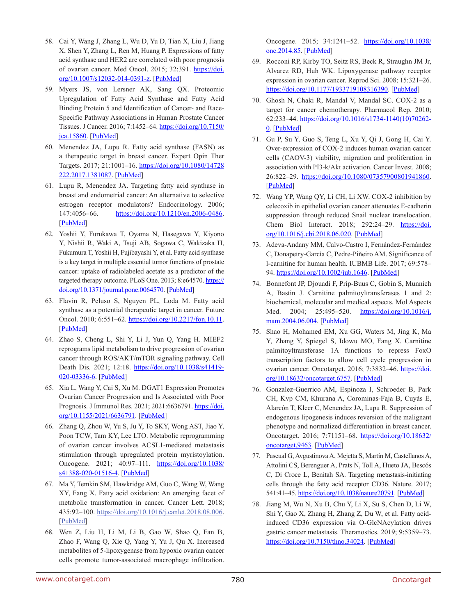- 58. Cai Y, Wang J, Zhang L, Wu D, Yu D, Tian X, Liu J, Jiang X, Shen Y, Zhang L, Ren M, Huang P. Expressions of fatty acid synthase and HER2 are correlated with poor prognosis of ovarian cancer. Med Oncol. 2015; 32:391. [https://doi.](https://doi.org/10.1007/s12032-014-0391-z) [org/10.1007/s12032-014-0391-z.](https://doi.org/10.1007/s12032-014-0391-z) [\[PubMed\]](https://pubmed.ncbi.nlm.nih.gov/25433947)
- 59. Myers JS, von Lersner AK, Sang QX. Proteomic Upregulation of Fatty Acid Synthase and Fatty Acid Binding Protein 5 and Identification of Cancer- and Race-Specific Pathway Associations in Human Prostate Cancer Tissues. J Cancer. 2016; 7:1452–64. [https://doi.org/10.7150/](https://doi.org/10.7150/jca.15860) [jca.15860](https://doi.org/10.7150/jca.15860). [[PubMed](https://pubmed.ncbi.nlm.nih.gov/27471561)]
- 60. Menendez JA, Lupu R. Fatty acid synthase (FASN) as a therapeutic target in breast cancer. Expert Opin Ther Targets. 2017; 21:1001–16. [https://doi.org/10.1080/14728](https://doi.org/10.1080/14728222.2017.1381087) [222.2017.1381087.](https://doi.org/10.1080/14728222.2017.1381087) [[PubMed\]](https://pubmed.ncbi.nlm.nih.gov/28922023)
- 61. Lupu R, Menendez JA. Targeting fatty acid synthase in breast and endometrial cancer: An alternative to selective estrogen receptor modulators? Endocrinology. 2006; 147:4056–66. <https://doi.org/10.1210/en.2006-0486>. [[PubMed\]](https://pubmed.ncbi.nlm.nih.gov/16809439)
- 62. Yoshii Y, Furukawa T, Oyama N, Hasegawa Y, Kiyono Y, Nishii R, Waki A, Tsuji AB, Sogawa C, Wakizaka H, Fukumura T, Yoshii H, Fujibayashi Y, et al. Fatty acid synthase is a key target in multiple essential tumor functions of prostate cancer: uptake of radiolabeled acetate as a predictor of the targeted therapy outcome. PLoS One. 2013; 8:e64570. [https://](https://doi.org/10.1371/journal.pone.0064570) [doi.org/10.1371/journal.pone.0064570](https://doi.org/10.1371/journal.pone.0064570). [\[PubMed](https://pubmed.ncbi.nlm.nih.gov/23741342)]
- 63. Flavin R, Peluso S, Nguyen PL, Loda M. Fatty acid synthase as a potential therapeutic target in cancer. Future Oncol. 2010; 6:551–62.<https://doi.org/10.2217/fon.10.11>. [[PubMed\]](https://pubmed.ncbi.nlm.nih.gov/20373869)
- 64. Zhao S, Cheng L, Shi Y, Li J, Yun Q, Yang H. MIEF2 reprograms lipid metabolism to drive progression of ovarian cancer through ROS/AKT/mTOR signaling pathway. Cell Death Dis. 2021; 12:18. [https://doi.org/10.1038/s41419-](https://doi.org/10.1038/s41419-020-03336-6) [020-03336-6](https://doi.org/10.1038/s41419-020-03336-6). [[PubMed](https://pubmed.ncbi.nlm.nih.gov/33414447)]
- 65. Xia L, Wang Y, Cai S, Xu M. DGAT1 Expression Promotes Ovarian Cancer Progression and Is Associated with Poor Prognosis. J Immunol Res. 2021; 2021:6636791. [https://doi.](https://doi.org/10.1155/2021/6636791) [org/10.1155/2021/6636791.](https://doi.org/10.1155/2021/6636791) [\[PubMed\]](https://pubmed.ncbi.nlm.nih.gov/34095320)
- 66. Zhang Q, Zhou W, Yu S, Ju Y, To SKY, Wong AST, Jiao Y, Poon TCW, Tam KY, Lee LTO. Metabolic reprogramming of ovarian cancer involves ACSL1-mediated metastasis stimulation through upregulated protein myristoylation. Oncogene. 2021; 40:97–111. [https://doi.org/10.1038/](https://doi.org/10.1038/s41388-020-01516-4) [s41388-020-01516-4](https://doi.org/10.1038/s41388-020-01516-4). [[PubMed](https://pubmed.ncbi.nlm.nih.gov/33082557)]
- 67. Ma Y, Temkin SM, Hawkridge AM, Guo C, Wang W, Wang XY, Fang X. Fatty acid oxidation: An emerging facet of metabolic transformation in cancer. Cancer Lett. 2018; 435:92–100. <https://doi.org/10.1016/j.canlet.2018.08.006>. [[PubMed\]](https://pubmed.ncbi.nlm.nih.gov/30102953)
- 68. Wen Z, Liu H, Li M, Li B, Gao W, Shao Q, Fan B, Zhao F, Wang Q, Xie Q, Yang Y, Yu J, Qu X. Increased metabolites of 5-lipoxygenase from hypoxic ovarian cancer cells promote tumor-associated macrophage infiltration.

Oncogene. 2015; 34:1241-52. [https://doi.org/10.1038/](https://doi.org/10.1038/onc.2014.85) [onc.2014.85.](https://doi.org/10.1038/onc.2014.85) [\[PubMed\]](https://pubmed.ncbi.nlm.nih.gov/24662827)

- 69. Rocconi RP, Kirby TO, Seitz RS, Beck R, Straughn JM Jr, Alvarez RD, Huh WK. Lipoxygenase pathway receptor expression in ovarian cancer. Reprod Sci. 2008; 15:321–26. <https://doi.org/10.1177/1933719108316390>. [[PubMed](https://pubmed.ncbi.nlm.nih.gov/18421027)]
- 70. Ghosh N, Chaki R, Mandal V, Mandal SC. COX-2 as a target for cancer chemotherapy. Pharmacol Rep. 2010; 62:233–44. [https://doi.org/10.1016/s1734-1140\(10\)70262-](https://doi.org/10.1016/s1734-1140(10)70262-0) [0](https://doi.org/10.1016/s1734-1140(10)70262-0). [\[PubMed\]](https://pubmed.ncbi.nlm.nih.gov/20508278)
- 71. Gu P, Su Y, Guo S, Teng L, Xu Y, Qi J, Gong H, Cai Y. Over-expression of COX-2 induces human ovarian cancer cells (CAOV-3) viability, migration and proliferation in association with PI3-k/Akt activation. Cancer Invest. 2008; 26:822–29. [https://doi.org/10.1080/07357900801941860.](https://doi.org/10.1080/07357900801941860) [\[PubMed\]](https://pubmed.ncbi.nlm.nih.gov/18798061)
- 72. Wang YP, Wang QY, Li CH, Li XW. COX-2 inhibition by celecoxib in epithelial ovarian cancer attenuates E-cadherin suppression through reduced Snail nuclear translocation. Chem Biol Interact. 2018; 292:24-29. [https://doi.](https://doi.org/10.1016/j.cbi.2018.06.020) [org/10.1016/j.cbi.2018.06.020.](https://doi.org/10.1016/j.cbi.2018.06.020) [\[PubMed\]](https://pubmed.ncbi.nlm.nih.gov/29932878)
- 73. Adeva-Andany MM, Calvo-Castro I, Fernández-Fernández C, Donapetry-García C, Pedre-Piñeiro AM. Significance of l-carnitine for human health. IUBMB Life. 2017; 69:578– 94. [https://doi.org/10.1002/iub.1646.](https://doi.org/10.1002/iub.1646) [\[PubMed\]](https://pubmed.ncbi.nlm.nih.gov/28653367)
- 74. Bonnefont JP, Djouadi F, Prip-Buus C, Gobin S, Munnich A, Bastin J. Carnitine palmitoyltransferases 1 and 2: biochemical, molecular and medical aspects. Mol Aspects Med. 2004; 25:495–520. [https://doi.org/10.1016/j.](https://doi.org/10.1016/j.mam.2004.06.004) [mam.2004.06.004.](https://doi.org/10.1016/j.mam.2004.06.004) [\[PubMed\]](https://pubmed.ncbi.nlm.nih.gov/15363638)
- 75. Shao H, Mohamed EM, Xu GG, Waters M, Jing K, Ma Y, Zhang Y, Spiegel S, Idowu MO, Fang X. Carnitine palmitoyltransferase 1A functions to repress FoxO transcription factors to allow cell cycle progression in ovarian cancer. Oncotarget. 2016; 7:3832-46. [https://doi.](https://doi.org/10.18632/oncotarget.6757) [org/10.18632/oncotarget.6757](https://doi.org/10.18632/oncotarget.6757). [[PubMed](https://pubmed.ncbi.nlm.nih.gov/26716645)]
- 76. Gonzalez-Guerrico AM, Espinoza I, Schroeder B, Park CH, Kvp CM, Khurana A, Corominas-Faja B, Cuyàs E, Alarcón T, Kleer C, Menendez JA, Lupu R. Suppression of endogenous lipogenesis induces reversion of the malignant phenotype and normalized differentiation in breast cancer. Oncotarget. 2016; 7:71151–68. [https://doi.org/10.18632/](https://doi.org/10.18632/oncotarget.9463) [oncotarget.9463.](https://doi.org/10.18632/oncotarget.9463) [\[PubMed\]](https://pubmed.ncbi.nlm.nih.gov/27223424)
- 77. Pascual G, Avgustinova A, Mejetta S, Martín M, Castellanos A, Attolini CS, Berenguer A, Prats N, Toll A, Hueto JA, Bescós C, Di Croce L, Benitah SA. Targeting metastasis-initiating cells through the fatty acid receptor CD36. Nature. 2017; 541:41-45. <https://doi.org/10.1038/nature20791>. [\[PubMed](https://pubmed.ncbi.nlm.nih.gov/27974793)]
- 78. Jiang M, Wu N, Xu B, Chu Y, Li X, Su S, Chen D, Li W, Shi Y, Gao X, Zhang H, Zhang Z, Du W, et al. Fatty acidinduced CD36 expression via O-GlcNAcylation drives gastric cancer metastasis. Theranostics. 2019; 9:5359–73. <https://doi.org/10.7150/thno.34024>. [[PubMed](https://pubmed.ncbi.nlm.nih.gov/31410220)]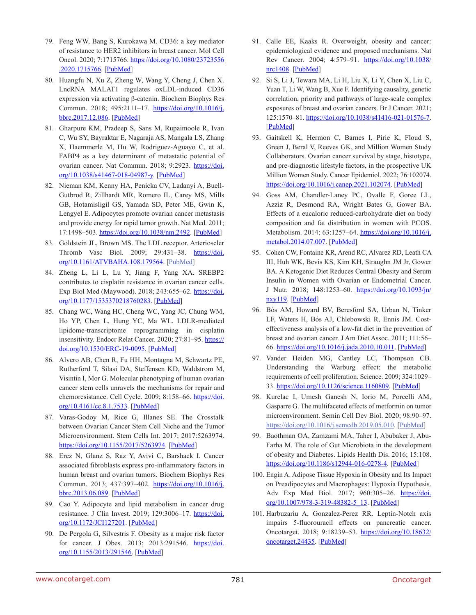- 79. Feng WW, Bang S, Kurokawa M. CD36: a key mediator of resistance to HER2 inhibitors in breast cancer. Mol Cell Oncol. 2020; 7:1715766. [https://doi.org/10.1080/23723556](https://doi.org/10.1080/23723556.2020.1715766) [.2020.1715766](https://doi.org/10.1080/23723556.2020.1715766). [\[PubMed\]](https://pubmed.ncbi.nlm.nih.gov/32158927)
- 80. Huangfu N, Xu Z, Zheng W, Wang Y, Cheng J, Chen X. LncRNA MALAT1 regulates oxLDL-induced CD36 expression via activating β-catenin. Biochem Biophys Res Commun. 2018; 495:2111–17. [https://doi.org/10.1016/j.](https://doi.org/10.1016/j.bbrc.2017.12.086) [bbrc.2017.12.086](https://doi.org/10.1016/j.bbrc.2017.12.086). [[PubMed](https://pubmed.ncbi.nlm.nih.gov/29258822)]
- 81. Gharpure KM, Pradeep S, Sans M, Rupaimoole R, Ivan C, Wu SY, Bayraktar E, Nagaraja AS, Mangala LS, Zhang X, Haemmerle M, Hu W, Rodriguez-Aguayo C, et al. FABP4 as a key determinant of metastatic potential of ovarian cancer. Nat Commun. 2018; 9:2923. [https://doi.](https://doi.org/10.1038/s41467-018-04987-y) [org/10.1038/s41467-018-04987-y.](https://doi.org/10.1038/s41467-018-04987-y) [\[PubMed\]](https://pubmed.ncbi.nlm.nih.gov/30050129)
- 82. Nieman KM, Kenny HA, Penicka CV, Ladanyi A, Buell-Gutbrod R, Zillhardt MR, Romero IL, Carey MS, Mills GB, Hotamisligil GS, Yamada SD, Peter ME, Gwin K, Lengyel E. Adipocytes promote ovarian cancer metastasis and provide energy for rapid tumor growth. Nat Med. 2011; 17:1498–503. [https://doi.org/10.1038/nm.2492.](https://doi.org/10.1038/nm.2492) [\[PubMed\]](https://pubmed.ncbi.nlm.nih.gov/22037646)
- 83. Goldstein JL, Brown MS. The LDL receptor. Arterioscler Thromb Vasc Biol. 2009; 29:431-38. [https://doi.](https://doi.org/10.1161/ATVBAHA.108.179564) [org/10.1161/ATVBAHA.108.179564.](https://doi.org/10.1161/ATVBAHA.108.179564) [\[PubMed\]](https://pubmed.ncbi.nlm.nih.gov/19299327)
- 84. Zheng L, Li L, Lu Y, Jiang F, Yang XA. SREBP2 contributes to cisplatin resistance in ovarian cancer cells. Exp Biol Med (Maywood). 2018; 243:655–62. [https://doi.](https://doi.org/10.1177/1535370218760283) [org/10.1177/1535370218760283.](https://doi.org/10.1177/1535370218760283) [\[PubMed\]](https://pubmed.ncbi.nlm.nih.gov/29466876)
- 85. Chang WC, Wang HC, Cheng WC, Yang JC, Chung WM, Ho YP, Chen L, Hung YC, Ma WL. LDLR-mediated lipidome-transcriptome reprogramming in cisplatin insensitivity. Endocr Relat Cancer. 2020; 27:81–95. [https://](https://doi.org/10.1530/ERC-19-0095) [doi.org/10.1530/ERC-19-0095](https://doi.org/10.1530/ERC-19-0095). [[PubMed](https://pubmed.ncbi.nlm.nih.gov/31815680)]
- 86. Alvero AB, Chen R, Fu HH, Montagna M, Schwartz PE, Rutherford T, Silasi DA, Steffensen KD, Waldstrom M, Visintin I, Mor G. Molecular phenotyping of human ovarian cancer stem cells unravels the mechanisms for repair and chemoresistance. Cell Cycle. 2009; 8:158-66. [https://doi.](https://doi.org/10.4161/cc.8.1.7533) [org/10.4161/cc.8.1.7533.](https://doi.org/10.4161/cc.8.1.7533) [\[PubMed\]](https://pubmed.ncbi.nlm.nih.gov/19158483)
- 87. Varas-Godoy M, Rice G, Illanes SE. The Crosstalk between Ovarian Cancer Stem Cell Niche and the Tumor Microenvironment. Stem Cells Int. 2017; 2017:5263974. [https://doi.org/10.1155/2017/5263974.](https://doi.org/10.1155/2017/5263974) [\[PubMed\]](https://pubmed.ncbi.nlm.nih.gov/28819364)
- 88. Erez N, Glanz S, Raz Y, Avivi C, Barshack I. Cancer associated fibroblasts express pro-inflammatory factors in human breast and ovarian tumors. Biochem Biophys Res Commun. 2013; 437:397–402. [https://doi.org/10.1016/j.](https://doi.org/10.1016/j.bbrc.2013.06.089) [bbrc.2013.06.089](https://doi.org/10.1016/j.bbrc.2013.06.089). [[PubMed](https://pubmed.ncbi.nlm.nih.gov/23831470)]
- 89. Cao Y. Adipocyte and lipid metabolism in cancer drug resistance. J Clin Invest. 2019; 129:3006–17. [https://doi.](https://doi.org/10.1172/JCI127201) [org/10.1172/JCI127201](https://doi.org/10.1172/JCI127201). [[PubMed](https://pubmed.ncbi.nlm.nih.gov/31264969)]
- 90. De Pergola G, Silvestris F. Obesity as a major risk factor for cancer. J Obes. 2013; 2013:291546. [https://doi.](https://doi.org/10.1155/2013/291546) [org/10.1155/2013/291546](https://doi.org/10.1155/2013/291546). [[PubMed](https://pubmed.ncbi.nlm.nih.gov/24073332)]
- 91. Calle EE, Kaaks R. Overweight, obesity and cancer: epidemiological evidence and proposed mechanisms. Nat Rev Cancer. 2004; 4:579-91. [https://doi.org/10.1038/](https://doi.org/10.1038/nrc1408) [nrc1408.](https://doi.org/10.1038/nrc1408) [\[PubMed\]](https://pubmed.ncbi.nlm.nih.gov/15286738)
- 92. Si S, Li J, Tewara MA, Li H, Liu X, Li Y, Chen X, Liu C, Yuan T, Li W, Wang B, Xue F. Identifying causality, genetic correlation, priority and pathways of large-scale complex exposures of breast and ovarian cancers. Br J Cancer. 2021; 125:1570–81. [https://doi.org/10.1038/s41416-021-01576-7.](https://doi.org/10.1038/s41416-021-01576-7) [\[PubMed\]](https://pubmed.ncbi.nlm.nih.gov/34671129)
- 93. Gaitskell K, Hermon C, Barnes I, Pirie K, Floud S, Green J, Beral V, Reeves GK, and Million Women Study Collaborators. Ovarian cancer survival by stage, histotype, and pre-diagnostic lifestyle factors, in the prospective UK Million Women Study. Cancer Epidemiol. 2022; 76:102074. [https://doi.org/10.1016/j.canep.2021.102074.](https://doi.org/10.1016/j.canep.2021.102074) [\[PubMed\]](https://pubmed.ncbi.nlm.nih.gov/34942490)
- 94. Goss AM, Chandler-Laney PC, Ovalle F, Goree LL, Azziz R, Desmond RA, Wright Bates G, Gower BA. Effects of a eucaloric reduced-carbohydrate diet on body composition and fat distribution in women with PCOS. Metabolism. 2014; 63:1257-64. [https://doi.org/10.1016/j.](https://doi.org/10.1016/j.metabol.2014.07.007) [metabol.2014.07.007.](https://doi.org/10.1016/j.metabol.2014.07.007) [\[PubMed\]](https://pubmed.ncbi.nlm.nih.gov/25125349)
- 95. Cohen CW, Fontaine KR, Arend RC, Alvarez RD, Leath CA III, Huh WK, Bevis KS, Kim KH, Straughn JM Jr, Gower BA. A Ketogenic Diet Reduces Central Obesity and Serum Insulin in Women with Ovarian or Endometrial Cancer. J Nutr. 2018; 148:1253-60. [https://doi.org/10.1093/jn/](https://doi.org/10.1093/jn/nxy119) [nxy119](https://doi.org/10.1093/jn/nxy119). [[PubMed](https://pubmed.ncbi.nlm.nih.gov/30137481)]
- 96. Bós AM, Howard BV, Beresford SA, Urban N, Tinker LF, Waters H, Bós AJ, Chlebowski R, Ennis JM. Costeffectiveness analysis of a low-fat diet in the prevention of breast and ovarian cancer. J Am Diet Assoc. 2011; 111:56– 66. <https://doi.org/10.1016/j.jada.2010.10.011>. [[PubMed](https://pubmed.ncbi.nlm.nih.gov/21185966)]
- 97. Vander Heiden MG, Cantley LC, Thompson CB. Understanding the Warburg effect: the metabolic requirements of cell proliferation. Science. 2009; 324:1029– 33. <https://doi.org/10.1126/science.1160809>. [[PubMed](https://pubmed.ncbi.nlm.nih.gov/19460998)]
- 98. Kurelac I, Umesh Ganesh N, Iorio M, Porcelli AM, Gasparre G. The multifaceted effects of metformin on tumor microenvironment. Semin Cell Dev Biol. 2020; 98:90–97. [https://doi.org/10.1016/j.semcdb.2019.05.010.](https://doi.org/10.1016/j.semcdb.2019.05.010) [\[PubMed\]](https://pubmed.ncbi.nlm.nih.gov/31091466)
- 99. Baothman OA, Zamzami MA, Taher I, Abubaker J, Abu-Farha M. The role of Gut Microbiota in the development of obesity and Diabetes. Lipids Health Dis. 2016; 15:108. <https://doi.org/10.1186/s12944-016-0278-4>. [\[PubMed](https://pubmed.ncbi.nlm.nih.gov/27317359)]
- 100. Engin A. Adipose Tissue Hypoxia in Obesity and Its Impact on Preadipocytes and Macrophages: Hypoxia Hypothesis. Adv Exp Med Biol. 2017; 960:305–26. [https://doi.](https://doi.org/10.1007/978-3-319-48382-5_13) [org/10.1007/978-3-319-48382-5\\_13.](https://doi.org/10.1007/978-3-319-48382-5_13) [\[PubMed\]](https://pubmed.ncbi.nlm.nih.gov/28585205)
- 101. Harbuzariu A, Gonzalez-Perez RR. Leptin-Notch axis impairs 5-fluorouracil effects on pancreatic cancer. Oncotarget. 2018; 9:18239-53. [https://doi.org/10.18632/](https://doi.org/10.18632/oncotarget.24435) [oncotarget.24435](https://doi.org/10.18632/oncotarget.24435). [[PubMed](https://pubmed.ncbi.nlm.nih.gov/29719602)]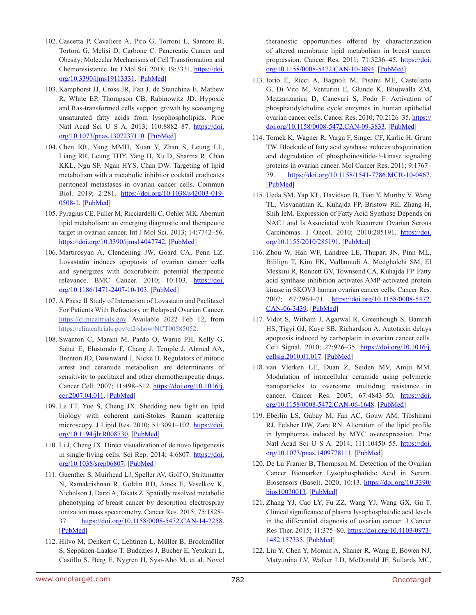- 102. Cascetta P, Cavaliere A, Piro G, Torroni L, Santoro R, Tortora G, Melisi D, Carbone C. Pancreatic Cancer and Obesity: Molecular Mechanisms of Cell Transformation and Chemoresistance. Int J Mol Sci. 2018; 19:3331. [https://doi.](https://doi.org/10.3390/ijms19113331) [org/10.3390/ijms19113331](https://doi.org/10.3390/ijms19113331). [[PubMed](https://pubmed.ncbi.nlm.nih.gov/30366466)]
- 103. Kamphorst JJ, Cross JR, Fan J, de Stanchina E, Mathew R, White EP, Thompson CB, Rabinowitz JD. Hypoxic and Ras-transformed cells support growth by scavenging unsaturated fatty acids from lysophospholipids. Proc Natl Acad Sci U S A. 2013; 110:8882–87. [https://doi.](https://doi.org/10.1073/pnas.1307237110) [org/10.1073/pnas.1307237110](https://doi.org/10.1073/pnas.1307237110). [[PubMed](https://pubmed.ncbi.nlm.nih.gov/23671091)]
- 104. Chen RR, Yung MMH, Xuan Y, Zhan S, Leung LL, Liang RR, Leung THY, Yang H, Xu D, Sharma R, Chan KKL, Ngu SF, Ngan HYS, Chan DW. Targeting of lipid metabolism with a metabolic inhibitor cocktail eradicates peritoneal metastases in ovarian cancer cells. Commun Biol. 2019; 2:281. [https://doi.org/10.1038/s42003-019-](https://doi.org/10.1038/s42003-019-0508-1) [0508-1](https://doi.org/10.1038/s42003-019-0508-1). [[PubMed](https://pubmed.ncbi.nlm.nih.gov/31372520)]
- 105. Pyragius CE, Fuller M, Ricciardelli C, Oehler MK. Aberrant lipid metabolism: an emerging diagnostic and therapeutic target in ovarian cancer. Int J Mol Sci. 2013; 14:7742–56. <https://doi.org/10.3390/ijms14047742>. [[PubMed](https://pubmed.ncbi.nlm.nih.gov/23574936)]
- 106. Martirosyan A, Clendening JW, Goard CA, Penn LZ. Lovastatin induces apoptosis of ovarian cancer cells and synergizes with doxorubicin: potential therapeutic relevance. BMC Cancer. 2010; 10:103. [https://doi.](https://doi.org/10.1186/1471-2407-10-103) [org/10.1186/1471-2407-10-103](https://doi.org/10.1186/1471-2407-10-103). [[PubMed](https://pubmed.ncbi.nlm.nih.gov/20298590)]
- 107. A Phase II Study of Interaction of Lovastatin and Paclitaxel For Patients With Refractory or Relapsed Ovarian Cancer. <https://clinicaltrials.gov>. Available 2022 Feb 12, from [https://clinicaltrials.gov/ct2/show/NCT00585052.](https://clinicaltrials.gov/ct2/show/NCT00585052)
- 108. Swanton C, Marani M, Pardo O, Warne PH, Kelly G, Sahai E, Elustondo F, Chang J, Temple J, Ahmed AA, Brenton JD, Downward J, Nicke B. Regulators of mitotic arrest and ceramide metabolism are determinants of sensitivity to paclitaxel and other chemotherapeutic drugs. Cancer Cell. 2007; 11:498–512. [https://doi.org/10.1016/j.](https://doi.org/10.1016/j.ccr.2007.04.011) [ccr.2007.04.011](https://doi.org/10.1016/j.ccr.2007.04.011). [[PubMed](https://pubmed.ncbi.nlm.nih.gov/17560332)]
- 109. Le TT, Yue S, Cheng JX. Shedding new light on lipid biology with coherent anti-Stokes Raman scattering microscopy. J Lipid Res. 2010; 51:3091-102. [https://doi.](https://doi.org/10.1194/jlr.R008730) [org/10.1194/jlr.R008730.](https://doi.org/10.1194/jlr.R008730) [\[PubMed\]](https://pubmed.ncbi.nlm.nih.gov/20713649)
- 110. Li J, Cheng JX. Direct visualization of de novo lipogenesis in single living cells. Sci Rep. 2014; 4:6807. [https://doi.](https://doi.org/10.1038/srep06807) [org/10.1038/srep06807.](https://doi.org/10.1038/srep06807) [\[PubMed\]](https://pubmed.ncbi.nlm.nih.gov/25351207)
- 111. Guenther S, Muirhead LJ, Speller AV, Golf O, Strittmatter N, Ramakrishnan R, Goldin RD, Jones E, Veselkov K, Nicholson J, Darzi A, Takats Z. Spatially resolved metabolic phenotyping of breast cancer by desorption electrospray ionization mass spectrometry. Cancer Res. 2015; 75:1828– 37. <https://doi.org/10.1158/0008-5472.CAN-14-2258>. [[PubMed\]](https://pubmed.ncbi.nlm.nih.gov/25691458)
- 112. Hilvo M, Denkert C, Lehtinen L, Müller B, Brockmöller S, Seppänen-Laakso T, Budczies J, Bucher E, Yetukuri L, Castillo S, Berg E, Nygren H, Sysi-Aho M, et al. Novel

theranostic opportunities offered by characterization of altered membrane lipid metabolism in breast cancer progression. Cancer Res. 2011; 71:3236-45. [https://doi.](https://doi.org/10.1158/0008-5472.CAN-10-3894) [org/10.1158/0008-5472.CAN-10-3894](https://doi.org/10.1158/0008-5472.CAN-10-3894). [[PubMed](https://pubmed.ncbi.nlm.nih.gov/21415164)]

- 113. Iorio E, Ricci A, Bagnoli M, Pisanu ME, Castellano G, Di Vito M, Venturini E, Glunde K, Bhujwalla ZM, Mezzanzanica D, Canevari S, Podo F. Activation of phosphatidylcholine cycle enzymes in human epithelial ovarian cancer cells. Cancer Res. 2010; 70:2126-35. [https://](https://doi.org/10.1158/0008-5472.CAN-09-3833) [doi.org/10.1158/0008-5472.CAN-09-3833](https://doi.org/10.1158/0008-5472.CAN-09-3833). [[PubMed](https://pubmed.ncbi.nlm.nih.gov/20179205)]
- 114. Tomek K, Wagner R, Varga F, Singer CF, Karlic H, Grunt TW. Blockade of fatty acid synthase induces ubiquitination and degradation of phosphoinositide-3-kinase signaling proteins in ovarian cancer. Mol Cancer Res. 2011; 9:1767– 79. [https://doi.org/10.1158/1541-7786.MCR-10-0467.](https://doi.org/10.1158/1541-7786.MCR-10-0467) [\[PubMed\]](https://pubmed.ncbi.nlm.nih.gov/21970855)
- 115. Ueda SM, Yap KL, Davidson B, Tian Y, Murthy V, Wang TL, Visvanathan K, Kuhajda FP, Bristow RE, Zhang H, Shih IeM. Expression of Fatty Acid Synthase Depends on NAC1 and Is Associated with Recurrent Ovarian Serous Carcinomas. J Oncol. 2010; 2010:285191. [https://doi.](https://doi.org/10.1155/2010/285191) [org/10.1155/2010/285191.](https://doi.org/10.1155/2010/285191) [\[PubMed\]](https://pubmed.ncbi.nlm.nih.gov/20508725)
- 116. Zhou W, Han WF, Landree LE, Thupari JN, Pinn ML, Bililign T, Kim EK, Vadlamudi A, Medghalchi SM, El Meskini R, Ronnett GV, Townsend CA, Kuhajda FP. Fatty acid synthase inhibition activates AMP-activated protein kinase in SKOV3 human ovarian cancer cells. Cancer Res. 2007; 67:2964-71. [https://doi.org/10.1158/0008-5472.](https://doi.org/10.1158/0008-5472.CAN-06-3439) [CAN-06-3439](https://doi.org/10.1158/0008-5472.CAN-06-3439). [[PubMed](https://pubmed.ncbi.nlm.nih.gov/17409402)]
- 117. Vidot S, Witham J, Agarwal R, Greenhough S, Bamrah HS, Tigyi GJ, Kaye SB, Richardson A. Autotaxin delays apoptosis induced by carboplatin in ovarian cancer cells. Cell Signal. 2010; 22:926–35. [https://doi.org/10.1016/j.](https://doi.org/10.1016/j.cellsig.2010.01.017) [cellsig.2010.01.017](https://doi.org/10.1016/j.cellsig.2010.01.017). [[PubMed](https://pubmed.ncbi.nlm.nih.gov/20100569)]
- 118. van Vlerken LE, Duan Z, Seiden MV, Amiji MM. Modulation of intracellular ceramide using polymeric nanoparticles to overcome multidrug resistance in cancer. Cancer Res. 2007; 67:4843–50. [https://doi.](https://doi.org/10.1158/0008-5472.CAN-06-1648) [org/10.1158/0008-5472.CAN-06-1648](https://doi.org/10.1158/0008-5472.CAN-06-1648). [[PubMed](https://pubmed.ncbi.nlm.nih.gov/17510414)]
- 119. Eberlin LS, Gabay M, Fan AC, Gouw AM, Tibshirani RJ, Felsher DW, Zare RN. Alteration of the lipid profile in lymphomas induced by MYC overexpression. Proc Natl Acad Sci U S A. 2014; 111:10450-55. [https://doi.](https://doi.org/10.1073/pnas.1409778111) [org/10.1073/pnas.1409778111.](https://doi.org/10.1073/pnas.1409778111) [\[PubMed\]](https://pubmed.ncbi.nlm.nih.gov/24994904)
- 120. De La Franier B, Thompson M. Detection of the Ovarian Cancer Biomarker Lysophosphatidic Acid in Serum. Biosensors (Basel). 2020; 10:13. [https://doi.org/10.3390/](https://doi.org/10.3390/bios10020013) [bios10020013.](https://doi.org/10.3390/bios10020013) [[PubMed\]](https://pubmed.ncbi.nlm.nih.gov/32075013)
- 121. Zhang YJ, Cao LY, Fu ZZ, Wang YJ, Wang GX, Gu T. Clinical significance of plasma lysophosphatidic acid levels in the differential diagnosis of ovarian cancer. J Cancer Res Ther. 2015; 11:375–80. [https://doi.org/10.4103/0973-](https://doi.org/10.4103/0973-1482.157335) [1482.157335.](https://doi.org/10.4103/0973-1482.157335) [\[PubMed\]](https://pubmed.ncbi.nlm.nih.gov/26148603)
- 122. Liu Y, Chen Y, Momin A, Shaner R, Wang E, Bowen NJ, Matyunina LV, Walker LD, McDonald JF, Sullards MC,